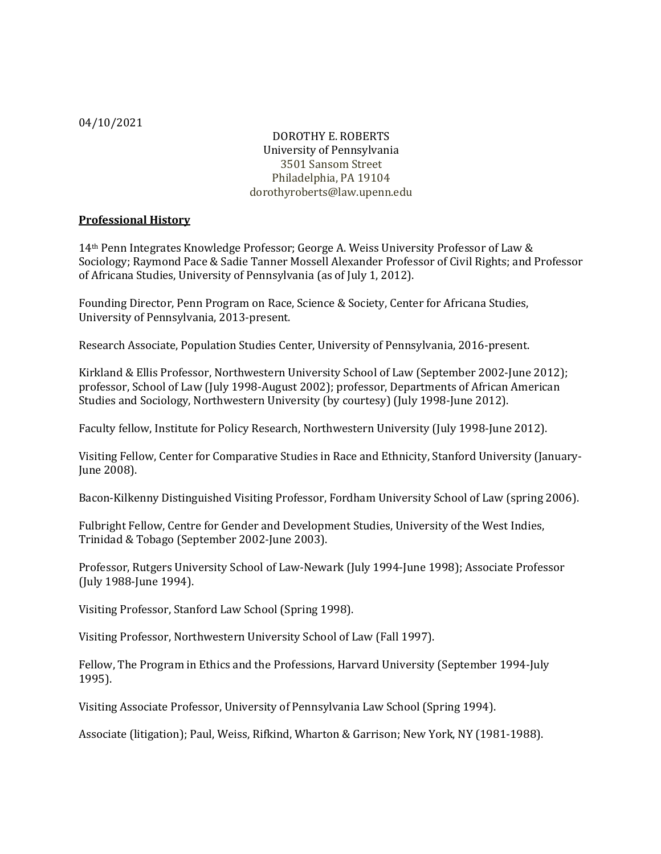# DOROTHY E. ROBERTS University of Pennsylvania 3501 Sansom Street Philadelphia, PA 19104 dorothyroberts@law.upenn.edu

# **Professional History**

14<sup>th</sup> Penn Integrates Knowledge Professor; George A. Weiss University Professor of Law & Sociology; Raymond Pace & Sadie Tanner Mossell Alexander Professor of Civil Rights; and Professor of Africana Studies, University of Pennsylvania (as of July 1, 2012).

Founding Director, Penn Program on Race, Science & Society, Center for Africana Studies, University of Pennsylvania, 2013-present.

Research Associate, Population Studies Center, University of Pennsylvania, 2016-present.

Kirkland & Ellis Professor, Northwestern University School of Law (September 2002-June 2012); professor, School of Law (July 1998-August 2002); professor, Departments of African American Studies and Sociology, Northwestern University (by courtesy) (July 1998-June 2012).

Faculty fellow, Institute for Policy Research, Northwestern University (July 1998-June 2012).

Visiting Fellow, Center for Comparative Studies in Race and Ethnicity, Stanford University (January-June 2008).

Bacon-Kilkenny Distinguished Visiting Professor, Fordham University School of Law (spring 2006).

Fulbright Fellow, Centre for Gender and Development Studies, University of the West Indies, Trinidad & Tobago (September 2002-June 2003).

Professor, Rutgers University School of Law-Newark (July 1994-June 1998); Associate Professor (July 1988-June 1994).

Visiting Professor, Stanford Law School (Spring 1998).

Visiting Professor, Northwestern University School of Law (Fall 1997).

Fellow, The Program in Ethics and the Professions, Harvard University (September 1994-July 1995).

Visiting Associate Professor, University of Pennsylvania Law School (Spring 1994).

Associate (litigation); Paul, Weiss, Rifkind, Wharton & Garrison; New York, NY (1981-1988).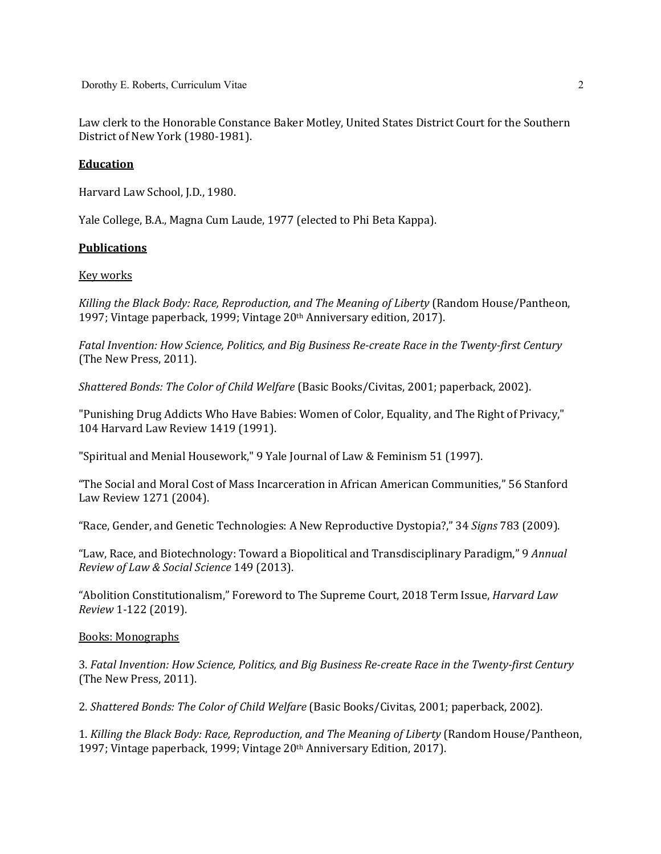Law clerk to the Honorable Constance Baker Motley, United States District Court for the Southern District of New York (1980-1981).

## **Education**

Harvard Law School, J.D., 1980.

Yale College, B.A., Magna Cum Laude, 1977 (elected to Phi Beta Kappa).

# **Publications**

# Key works

*Killing the Black Body: Race, Reproduction, and The Meaning of Liberty* (Random House/Pantheon, 1997; Vintage paperback, 1999; Vintage 20<sup>th</sup> Anniversary edition, 2017).

Fatal Invention: How Science, Politics, and Big Business Re-create Race in the Twenty-first Century (The New Press, 2011).

*Shattered Bonds: The Color of Child Welfare* (Basic Books/Civitas, 2001; paperback, 2002).

"Punishing Drug Addicts Who Have Babies: Women of Color, Equality, and The Right of Privacy," 104 Harvard Law Review 1419 (1991).

"Spiritual and Menial Housework," 9 Yale Journal of Law & Feminism 51 (1997).

"The Social and Moral Cost of Mass Incarceration in African American Communities," 56 Stanford Law Review 1271 (2004).

"Race, Gender, and Genetic Technologies: A New Reproductive Dystopia?," 34 *Signs* 783 (2009).

"Law, Race, and Biotechnology: Toward a Biopolitical and Transdisciplinary Paradigm," 9 *Annual Review of Law & Social Science* 149 (2013).

"Abolition Constitutionalism," Foreword to The Supreme Court, 2018 Term Issue, *Harvard Law Review* 1-122 (2019).

## **Books: Monographs**

3. Fatal Invention: How Science, Politics, and Big Business Re-create Race in the Twenty-first Century (The New Press, 2011).

2. *Shattered Bonds: The Color of Child Welfare* (Basic Books/Civitas, 2001; paperback, 2002).

1. *Killing the Black Body: Race, Reproduction, and The Meaning of Liberty* (Random House/Pantheon, 1997; Vintage paperback, 1999; Vintage 20<sup>th</sup> Anniversary Edition, 2017).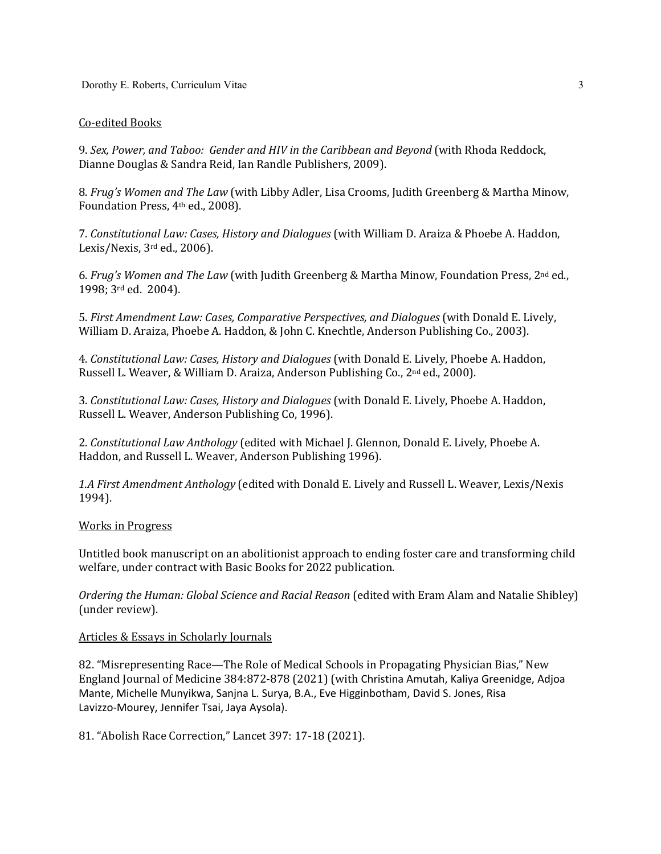## Co-edited Books

9. Sex, Power, and Taboo: Gender and HIV in the Caribbean and Beyond (with Rhoda Reddock, Dianne Douglas & Sandra Reid, Ian Randle Publishers, 2009).

8. *Frug's Women and The Law* (with Libby Adler, Lisa Crooms, Judith Greenberg & Martha Minow, Foundation Press, 4<sup>th</sup> ed., 2008).

7. *Constitutional Law: Cases, History and Dialogues* (with William D. Araiza & Phoebe A. Haddon, Lexis/Nexis,  $3<sup>rd</sup>$  ed., 2006).

6. *Frug's Women and The Law* (with Judith Greenberg & Martha Minow, Foundation Press, 2<sup>nd</sup> ed., 1998; 3<sup>rd</sup> ed. 2004).

5. *First Amendment Law: Cases, Comparative Perspectives, and Dialogues* (with Donald E. Lively, William D. Araiza, Phoebe A. Haddon, & John C. Knechtle, Anderson Publishing Co., 2003).

4. *Constitutional Law: Cases, History and Dialogues* (with Donald E. Lively, Phoebe A. Haddon, Russell L. Weaver, & William D. Araiza, Anderson Publishing Co., 2<sup>nd</sup> ed., 2000).

3. *Constitutional Law: Cases, History and Dialogues* (with Donald E. Lively, Phoebe A. Haddon, Russell L. Weaver, Anderson Publishing Co, 1996).

2. *Constitutional Law Anthology* (edited with Michael J. Glennon, Donald E. Lively, Phoebe A. Haddon, and Russell L. Weaver, Anderson Publishing 1996).

1.A First Amendment Anthology (edited with Donald E. Lively and Russell L. Weaver, Lexis/Nexis 1994).

### Works in Progress

Untitled book manuscript on an abolitionist approach to ending foster care and transforming child welfare, under contract with Basic Books for 2022 publication.

*Ordering the Human: Global Science and Racial Reason* (edited with Eram Alam and Natalie Shibley) (under review).

### Articles & Essays in Scholarly Journals

82. "Misrepresenting Race—The Role of Medical Schools in Propagating Physician Bias," New England Journal of Medicine 384:872-878 (2021) (with Christina Amutah, Kaliya Greenidge, Adjoa Mante, Michelle Munyikwa, Sanjna L. Surya, B.A., Eve Higginbotham, David S. Jones, Risa Lavizzo-Mourey, Jennifer Tsai, Jaya Aysola).

81. "Abolish Race Correction," Lancet 397: 17-18 (2021).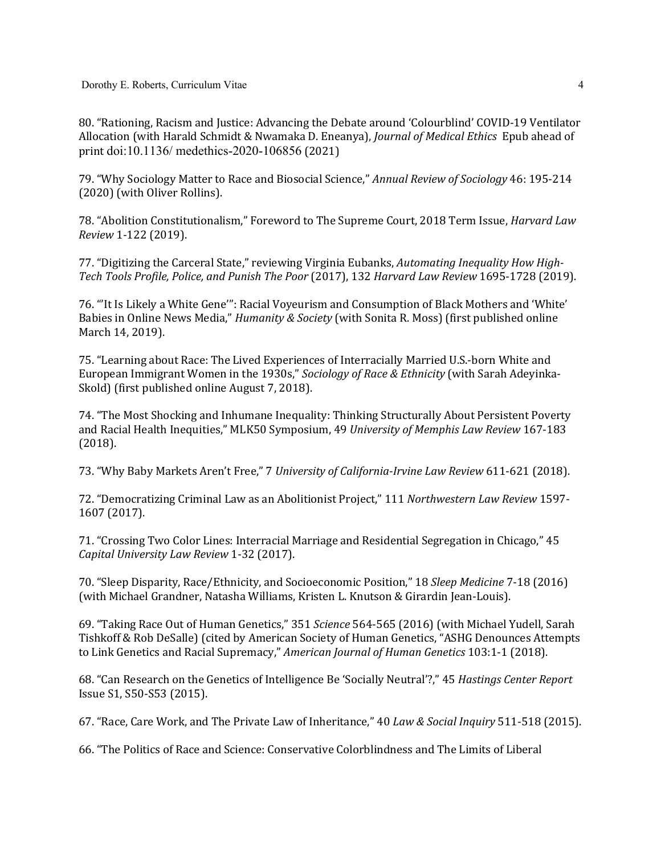80. "Rationing, Racism and Justice: Advancing the Debate around 'Colourblind' COVID-19 Ventilator Allocation (with Harald Schmidt & Nwamaka D. Eneanya), *Journal of Medical Ethics* Epub ahead of print doi:10.1136/ medethics-2020-106856 (2021)

79. "Why Sociology Matter to Race and Biosocial Science," *Annual Review of Sociology* 46: 195-214 (2020) (with Oliver Rollins).

78. "Abolition Constitutionalism," Foreword to The Supreme Court, 2018 Term Issue, *Harvard Law Review* 1-122 (2019).

77. "Digitizing the Carceral State," reviewing Virginia Eubanks, *Automating Inequality How High-Tech Tools Profile, Police, and Punish The Poor* (2017), 132 *Harvard Law Review* 1695-1728 (2019).

76. "It Is Likely a White Gene'": Racial Voyeurism and Consumption of Black Mothers and 'White' Babies in Online News Media," *Humanity & Society* (with Sonita R. Moss) (first published online March 14, 2019).

75. "Learning about Race: The Lived Experiences of Interracially Married U.S.-born White and European Immigrant Women in the 1930s," Sociology of Race & Ethnicity (with Sarah Adeyinka-Skold) (first published online August 7, 2018).

74. "The Most Shocking and Inhumane Inequality: Thinking Structurally About Persistent Poverty and Racial Health Inequities," MLK50 Symposium, 49 *University of Memphis Law Review* 167-183 (2018).

73. "Why Baby Markets Aren't Free," 7 University of California-Irvine Law Review 611-621 (2018).

72. "Democratizing Criminal Law as an Abolitionist Project," 111 *Northwestern Law Review* 1597- 1607 (2017).

71. "Crossing Two Color Lines: Interracial Marriage and Residential Segregation in Chicago," 45 *Capital University Law Review* 1-32 (2017).

70. "Sleep Disparity, Race/Ethnicity, and Socioeconomic Position," 18 *Sleep Medicine* 7-18 (2016) (with Michael Grandner, Natasha Williams, Kristen L. Knutson & Girardin Jean-Louis).

69. "Taking Race Out of Human Genetics," 351 Science 564-565 (2016) (with Michael Yudell, Sarah Tishkoff & Rob DeSalle) (cited by American Society of Human Genetics, "ASHG Denounces Attempts to Link Genetics and Racial Supremacy," American Journal of Human Genetics 103:1-1 (2018).

68. "Can Research on the Genetics of Intelligence Be 'Socially Neutral'?," 45 *Hastings Center Report* Issue S1, S50-S53 (2015).

67. "Race, Care Work, and The Private Law of Inheritance," 40 Law & Social Inquiry 511-518 (2015).

66. "The Politics of Race and Science: Conservative Colorblindness and The Limits of Liberal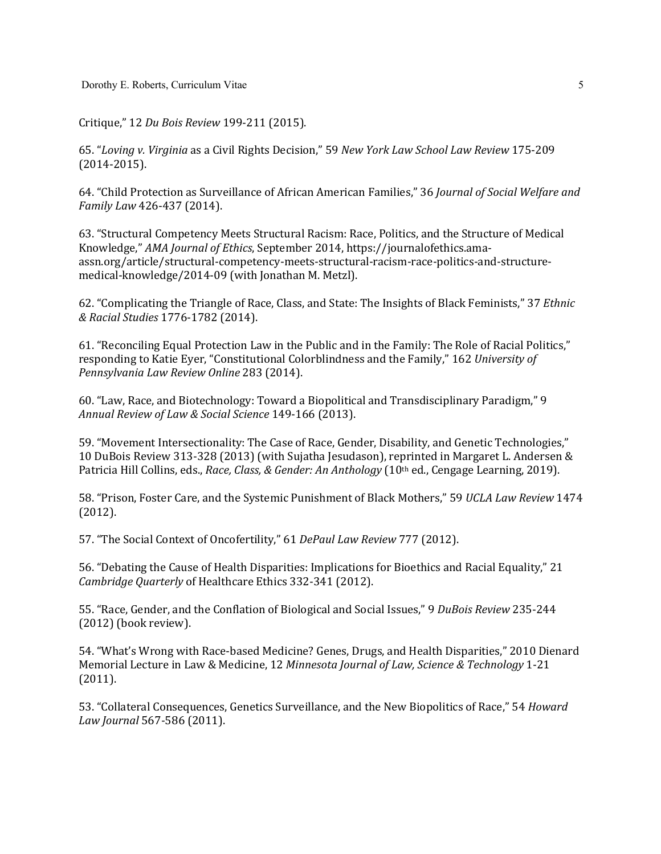Critique," 12 *Du Bois Review* 199-211 (2015).

65. "*Loving v. Virginia* as a Civil Rights Decision," 59 *New York Law School Law Review* 175-209 (2014-2015).

64. "Child Protection as Surveillance of African American Families," 36 *Journal of Social Welfare and Family Law 426-437 (2014).* 

63. "Structural Competency Meets Structural Racism: Race, Politics, and the Structure of Medical Knowledge," AMA Journal of Ethics, September 2014, https://journalofethics.amaassn.org/article/structural-competency-meets-structural-racism-race-politics-and-structuremedical-knowledge/2014-09 (with Jonathan M. Metzl).

62. "Complicating the Triangle of Race, Class, and State: The Insights of Black Feminists," 37 *Ethnic & Racial Studies* 1776-1782 (2014).

61. "Reconciling Equal Protection Law in the Public and in the Family: The Role of Racial Politics," responding to Katie Eyer, "Constitutional Colorblindness and the Family," 162 University of *Pennsylvania Law Review Online* 283 (2014). 

60. "Law, Race, and Biotechnology: Toward a Biopolitical and Transdisciplinary Paradigm," 9 *Annual Review of Law & Social Science* 149-166 (2013).

59. "Movement Intersectionality: The Case of Race, Gender, Disability, and Genetic Technologies," 10 DuBois Review 313-328 (2013) (with Sujatha Jesudason), reprinted in Margaret L. Andersen & Patricia Hill Collins, eds., *Race, Class, & Gender: An Anthology* (10<sup>th</sup> ed., Cengage Learning, 2019).

58. "Prison, Foster Care, and the Systemic Punishment of Black Mothers," 59 UCLA Law Review 1474 (2012).

57. "The Social Context of Oncofertility," 61 DePaul Law Review 777 (2012).

56. "Debating the Cause of Health Disparities: Implications for Bioethics and Racial Equality," 21 *Cambridge Quarterly* of Healthcare Ethics 332-341 (2012).

55. "Race, Gender, and the Conflation of Biological and Social Issues," 9 DuBois Review 235-244  $(2012)$  (book review).

54. "What's Wrong with Race-based Medicine? Genes, Drugs, and Health Disparities," 2010 Dienard Memorial Lecture in Law & Medicine, 12 *Minnesota Journal of Law, Science & Technology* 1-21 (2011). 

53. "Collateral Consequences, Genetics Surveillance, and the New Biopolitics of Race," 54 *Howard Law Journal* 567-586 (2011).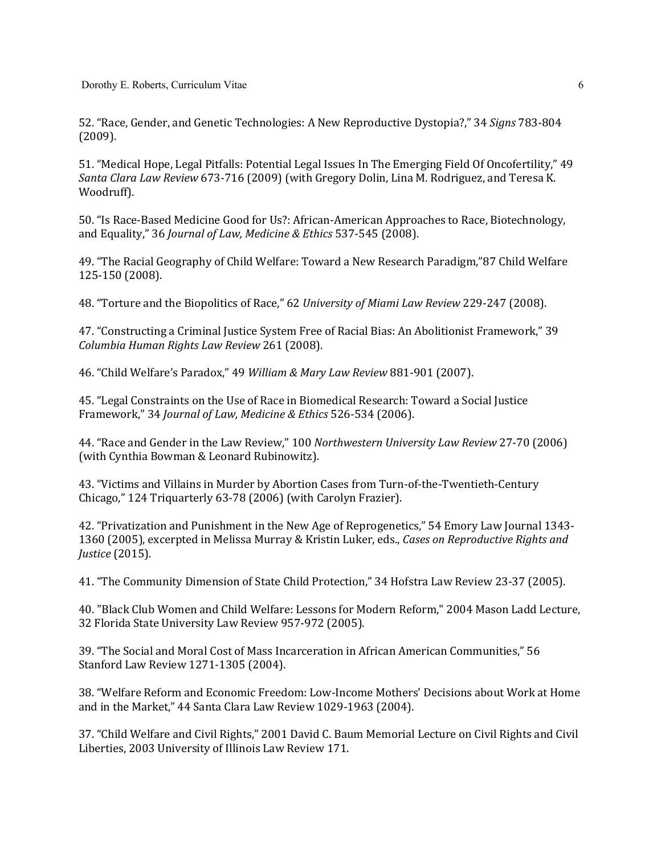Dorothy E. Roberts, Curriculum Vitae

52. "Race, Gender, and Genetic Technologies: A New Reproductive Dystopia?," 34 *Signs* 783-804 (2009).

51. "Medical Hope, Legal Pitfalls: Potential Legal Issues In The Emerging Field Of Oncofertility," 49 *Santa Clara Law Review* 673-716 (2009) (with Gregory Dolin, Lina M. Rodriguez, and Teresa K. Woodruff).

50. "Is Race-Based Medicine Good for Us?: African-American Approaches to Race, Biotechnology, and Equality," 36 *Journal of Law, Medicine & Ethics* 537-545 (2008).

49. "The Racial Geography of Child Welfare: Toward a New Research Paradigm,"87 Child Welfare 125-150 (2008).

48. "Torture and the Biopolitics of Race," 62 *University of Miami Law Review* 229-247 (2008).

47. "Constructing a Criminal Justice System Free of Racial Bias: An Abolitionist Framework," 39 *Columbia Human Rights Law Review* 261 (2008).

46. "Child Welfare's Paradox," 49 *William & Mary Law Review* 881-901 (2007).

45. "Legal Constraints on the Use of Race in Biomedical Research: Toward a Social Justice Framework," 34 *Journal of Law, Medicine & Ethics* 526-534 (2006).

44. "Race and Gender in the Law Review," 100 Northwestern University Law Review 27-70 (2006) (with Cynthia Bowman & Leonard Rubinowitz).

43. "Victims and Villains in Murder by Abortion Cases from Turn-of-the-Twentieth-Century Chicago," 124 Triquarterly 63-78 (2006) (with Carolyn Frazier).

42. "Privatization and Punishment in the New Age of Reprogenetics," 54 Emory Law Journal 1343-1360 (2005), excerpted in Melissa Murray & Kristin Luker, eds., *Cases on Reproductive Rights and Justice* (2015).

41. "The Community Dimension of State Child Protection," 34 Hofstra Law Review 23-37 (2005).

40. "Black Club Women and Child Welfare: Lessons for Modern Reform," 2004 Mason Ladd Lecture, 32 Florida State University Law Review 957-972 (2005).

39. "The Social and Moral Cost of Mass Incarceration in African American Communities," 56 Stanford Law Review 1271-1305 (2004).

38. "Welfare Reform and Economic Freedom: Low-Income Mothers' Decisions about Work at Home and in the Market," 44 Santa Clara Law Review 1029-1963 (2004).

37. "Child Welfare and Civil Rights," 2001 David C. Baum Memorial Lecture on Civil Rights and Civil Liberties, 2003 University of Illinois Law Review 171.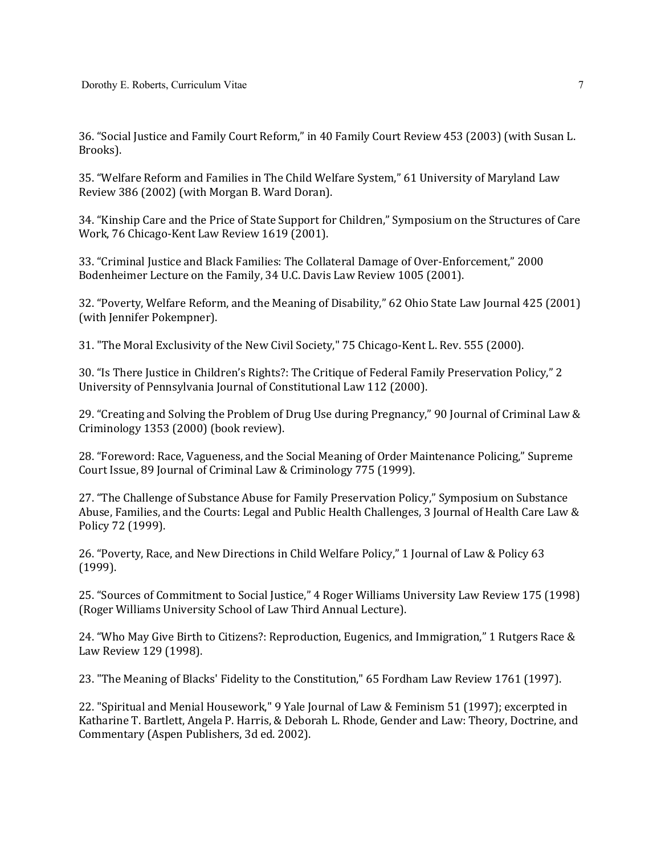36. "Social Justice and Family Court Reform," in 40 Family Court Review 453 (2003) (with Susan L. Brooks).

35. "Welfare Reform and Families in The Child Welfare System," 61 University of Maryland Law Review 386 (2002) (with Morgan B. Ward Doran).

34. "Kinship Care and the Price of State Support for Children," Symposium on the Structures of Care Work, 76 Chicago-Kent Law Review 1619 (2001).

33. "Criminal Justice and Black Families: The Collateral Damage of Over-Enforcement," 2000 Bodenheimer Lecture on the Family, 34 U.C. Davis Law Review 1005 (2001).

32. "Poverty, Welfare Reform, and the Meaning of Disability," 62 Ohio State Law Journal 425 (2001) (with Jennifer Pokempner).

31. "The Moral Exclusivity of the New Civil Society," 75 Chicago-Kent L. Rev. 555 (2000).

30. "Is There Justice in Children's Rights?: The Critique of Federal Family Preservation Policy," 2 University of Pennsylvania Journal of Constitutional Law 112 (2000).

29. "Creating and Solving the Problem of Drug Use during Pregnancy," 90 Journal of Criminal Law & Criminology 1353 (2000) (book review).

28. "Foreword: Race, Vagueness, and the Social Meaning of Order Maintenance Policing," Supreme Court Issue, 89 Journal of Criminal Law & Criminology 775 (1999).

27. "The Challenge of Substance Abuse for Family Preservation Policy," Symposium on Substance Abuse, Families, and the Courts: Legal and Public Health Challenges, 3 Journal of Health Care Law & Policy 72 (1999).

26. "Poverty, Race, and New Directions in Child Welfare Policy," 1 Journal of Law & Policy 63 (1999).

25. "Sources of Commitment to Social Justice," 4 Roger Williams University Law Review 175 (1998) (Roger Williams University School of Law Third Annual Lecture).

24. "Who May Give Birth to Citizens?: Reproduction, Eugenics, and Immigration," 1 Rutgers Race & Law Review 129 (1998).

23. "The Meaning of Blacks' Fidelity to the Constitution," 65 Fordham Law Review 1761 (1997).

22. "Spiritual and Menial Housework," 9 Yale Journal of Law & Feminism 51 (1997); excerpted in Katharine T. Bartlett, Angela P. Harris, & Deborah L. Rhode, Gender and Law: Theory, Doctrine, and Commentary (Aspen Publishers, 3d ed. 2002).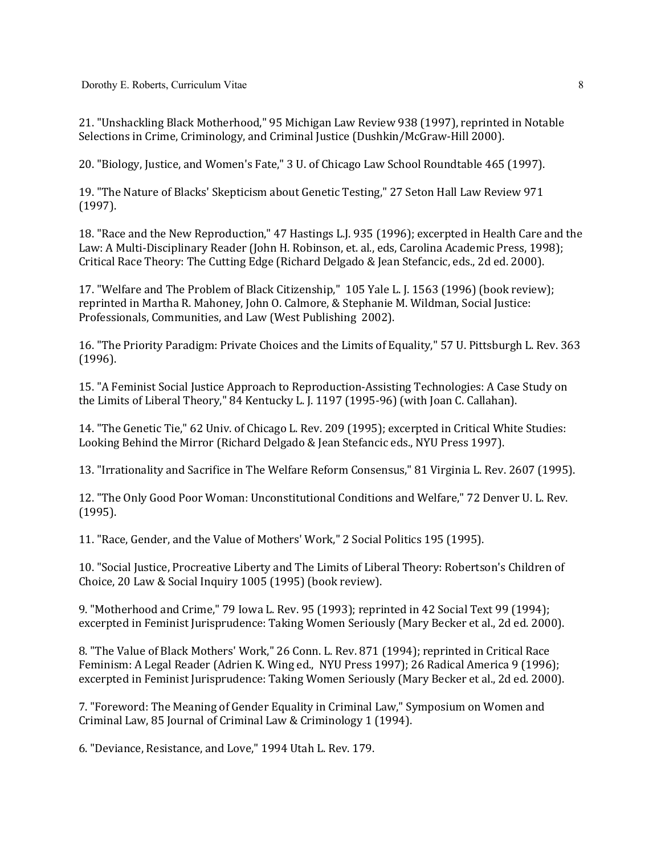21. "Unshackling Black Motherhood," 95 Michigan Law Review 938 (1997), reprinted in Notable Selections in Crime, Criminology, and Criminal Justice (Dushkin/McGraw-Hill 2000).

20. "Biology, Justice, and Women's Fate," 3 U. of Chicago Law School Roundtable 465 (1997).

19. "The Nature of Blacks' Skepticism about Genetic Testing," 27 Seton Hall Law Review 971 (1997).

18. "Race and the New Reproduction," 47 Hastings L.J. 935 (1996); excerpted in Health Care and the Law: A Multi-Disciplinary Reader (John H. Robinson, et. al., eds, Carolina Academic Press, 1998); Critical Race Theory: The Cutting Edge (Richard Delgado & Jean Stefancic, eds., 2d ed. 2000).

17. "Welfare and The Problem of Black Citizenship," 105 Yale L. J. 1563 (1996) (book review); reprinted in Martha R. Mahoney, John O. Calmore, & Stephanie M. Wildman, Social Justice: Professionals, Communities, and Law (West Publishing 2002).

16. "The Priority Paradigm: Private Choices and the Limits of Equality," 57 U. Pittsburgh L. Rev. 363 (1996).

15. "A Feminist Social Justice Approach to Reproduction-Assisting Technologies: A Case Study on the Limits of Liberal Theory," 84 Kentucky L. J. 1197 (1995-96) (with Joan C. Callahan).

14. "The Genetic Tie," 62 Univ. of Chicago L. Rev. 209 (1995); excerpted in Critical White Studies: Looking Behind the Mirror (Richard Delgado & Jean Stefancic eds., NYU Press 1997).

13. "Irrationality and Sacrifice in The Welfare Reform Consensus," 81 Virginia L. Rev. 2607 (1995).

12. "The Only Good Poor Woman: Unconstitutional Conditions and Welfare," 72 Denver U. L. Rev. (1995).

11. "Race, Gender, and the Value of Mothers' Work," 2 Social Politics 195 (1995).

10. "Social Justice, Procreative Liberty and The Limits of Liberal Theory: Robertson's Children of Choice, 20 Law & Social Inquiry 1005 (1995) (book review).

9. "Motherhood and Crime," 79 Iowa L. Rev. 95 (1993); reprinted in 42 Social Text 99 (1994); excerpted in Feminist Jurisprudence: Taking Women Seriously (Mary Becker et al., 2d ed. 2000).

8. "The Value of Black Mothers' Work," 26 Conn. L. Rev. 871 (1994); reprinted in Critical Race Feminism: A Legal Reader (Adrien K. Wing ed., NYU Press 1997); 26 Radical America 9 (1996); excerpted in Feminist Jurisprudence: Taking Women Seriously (Mary Becker et al., 2d ed. 2000).

7. "Foreword: The Meaning of Gender Equality in Criminal Law," Symposium on Women and Criminal Law, 85 Journal of Criminal Law & Criminology 1 (1994).

6. "Deviance, Resistance, and Love," 1994 Utah L. Rev. 179.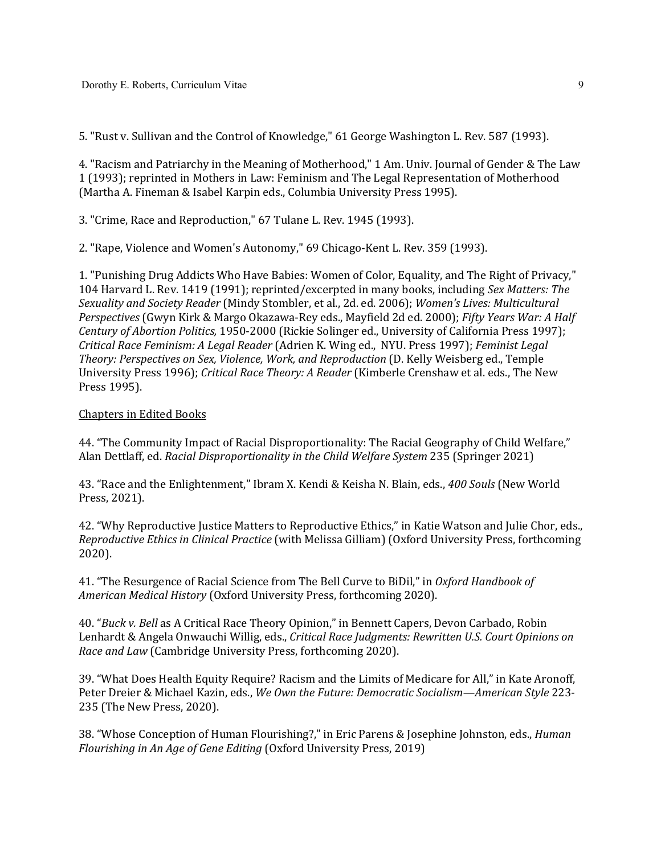5. "Rust v. Sullivan and the Control of Knowledge," 61 George Washington L. Rev. 587 (1993).

4. "Racism and Patriarchy in the Meaning of Motherhood," 1 Am. Univ. Journal of Gender & The Law 1 (1993); reprinted in Mothers in Law: Feminism and The Legal Representation of Motherhood (Martha A. Fineman & Isabel Karpin eds., Columbia University Press 1995).

3. "Crime, Race and Reproduction," 67 Tulane L. Rev. 1945 (1993).

2. "Rape, Violence and Women's Autonomy," 69 Chicago-Kent L. Rev. 359 (1993).

1. "Punishing Drug Addicts Who Have Babies: Women of Color, Equality, and The Right of Privacy," 104 Harvard L. Rev. 1419 (1991); reprinted/excerpted in many books, including *Sex Matters: The* Sexuality and Society Reader (Mindy Stombler, et al., 2d. ed. 2006); Women's Lives: Multicultural *Perspectives* (Gwyn Kirk & Margo Okazawa-Rey eds., Mayfield 2d ed. 2000); *Fifty Years War: A Half Century of Abortion Politics,* 1950-2000 (Rickie Solinger ed., University of California Press 1997); *Critical Race Feminism: A Legal Reader* (Adrien K. Wing ed., NYU. Press 1997); *Feminist Legal*  Theory: Perspectives on Sex, Violence, Work, and Reproduction (D. Kelly Weisberg ed., Temple University Press 1996); *Critical Race Theory: A Reader* (Kimberle Crenshaw et al. eds., The New Press 1995).

## **Chapters in Edited Books**

44. "The Community Impact of Racial Disproportionality: The Racial Geography of Child Welfare," Alan Dettlaff, ed. *Racial Disproportionality in the Child Welfare System* 235 (Springer 2021)

43. "Race and the Enlightenment," Ibram X. Kendi & Keisha N. Blain, eds., 400 Souls (New World Press, 2021).

42. "Why Reproductive Justice Matters to Reproductive Ethics," in Katie Watson and Julie Chor, eds., *Reproductive Ethics in Clinical Practice* (with Melissa Gilliam) (Oxford University Press, forthcoming 2020).

41. "The Resurgence of Racial Science from The Bell Curve to BiDil," in Oxford Handbook of *American Medical History* (Oxford University Press, forthcoming 2020).

40. "*Buck v. Bell* as A Critical Race Theory Opinion," in Bennett Capers, Devon Carbado, Robin Lenhardt & Angela Onwauchi Willig, eds., *Critical Race Judgments: Rewritten U.S. Court Opinions on Race and Law* (Cambridge University Press, forthcoming 2020).

39. "What Does Health Equity Require? Racism and the Limits of Medicare for All," in Kate Aronoff, Peter Dreier & Michael Kazin, eds., We Own the Future: Democratic Socialism—American Style 223-235 (The New Press, 2020).

38. "Whose Conception of Human Flourishing?," in Eric Parens & Josephine Johnston, eds., *Human Flourishing in An Age of Gene Editing* (Oxford University Press, 2019)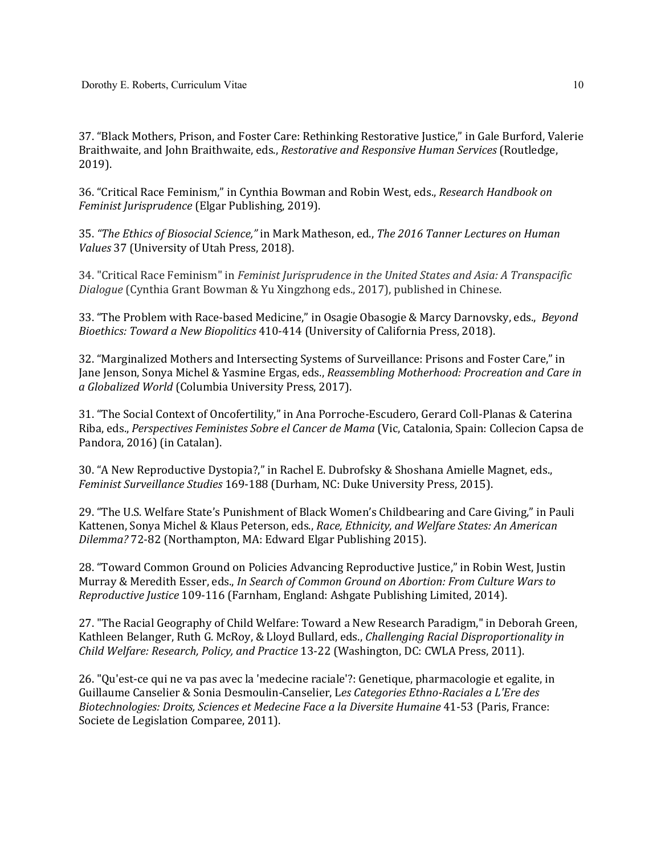37. "Black Mothers, Prison, and Foster Care: Rethinking Restorative Justice," in Gale Burford, Valerie Braithwaite, and John Braithwaite, eds., *Restorative and Responsive Human Services* (Routledge, 2019).

36. "Critical Race Feminism," in Cynthia Bowman and Robin West, eds., *Research Handbook on Feminist Jurisprudence* (Elgar Publishing, 2019).

35. "The Ethics of Biosocial Science," in Mark Matheson, ed., The 2016 Tanner Lectures on Human *Values* 37 (University of Utah Press, 2018).

34. "Critical Race Feminism" in *Feminist Jurisprudence in the United States and Asia: A Transpacific Dialogue* (Cynthia Grant Bowman & Yu Xingzhong eds., 2017), published in Chinese.

33. "The Problem with Race-based Medicine," in Osagie Obasogie & Marcy Darnovsky, eds., *Beyond Bioethics: Toward a New Biopolitics* 410-414 (University of California Press, 2018).

32. "Marginalized Mothers and Intersecting Systems of Surveillance: Prisons and Foster Care," in Jane Jenson, Sonya Michel & Yasmine Ergas, eds., *Reassembling Motherhood: Procreation and Care in a Globalized World* (Columbia University Press, 2017).

31. "The Social Context of Oncofertility," in Ana Porroche-Escudero, Gerard Coll-Planas & Caterina Riba, eds., *Perspectives Feministes Sobre el Cancer de Mama* (Vic, Catalonia, Spain: Collecion Capsa de Pandora, 2016) (in Catalan).

30. "A New Reproductive Dystopia?," in Rachel E. Dubrofsky & Shoshana Amielle Magnet, eds., *Feminist Surveillance Studies* 169-188 (Durham, NC: Duke University Press, 2015).

29. "The U.S. Welfare State's Punishment of Black Women's Childbearing and Care Giving," in Pauli Kattenen, Sonya Michel & Klaus Peterson, eds., *Race, Ethnicity, and Welfare States: An American Dilemma?* 72-82 (Northampton, MA: Edward Elgar Publishing 2015).

28. "Toward Common Ground on Policies Advancing Reproductive Justice," in Robin West, Justin Murray & Meredith Esser, eds., In Search of Common Ground on Abortion: From Culture Wars to *Reproductive Justice* 109-116 (Farnham, England: Ashgate Publishing Limited, 2014).

27. "The Racial Geography of Child Welfare: Toward a New Research Paradigm," in Deborah Green, Kathleen Belanger, Ruth G. McRoy, & Lloyd Bullard, eds., *Challenging Racial Disproportionality in Child Welfare: Research, Policy, and Practice* 13-22 (Washington, DC: CWLA Press, 2011).

26. "Qu'est-ce qui ne va pas avec la 'medecine raciale'?: Genetique, pharmacologie et egalite, in Guillaume Canselier & Sonia Desmoulin-Canselier, Les Categories Ethno-Raciales a L'Ere des *Biotechnologies: Droits, Sciences et Medecine Face a la Diversite Humaine* 41-53 (Paris, France: Societe de Legislation Comparee, 2011).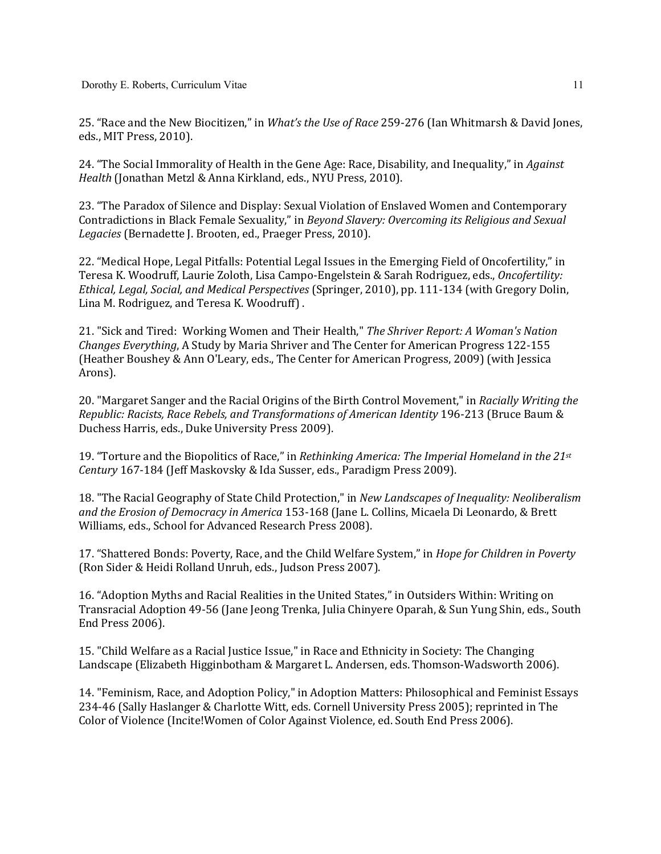25. "Race and the New Biocitizen," in *What's the Use of Race* 259-276 (Ian Whitmarsh & David Jones, eds., MIT Press, 2010).

24. "The Social Immorality of Health in the Gene Age: Race, Disability, and Inequality," in *Against Health* (Jonathan Metzl & Anna Kirkland, eds., NYU Press, 2010).

23. "The Paradox of Silence and Display: Sexual Violation of Enslaved Women and Contemporary Contradictions in Black Female Sexuality," in *Beyond Slavery: Overcoming its Religious and Sexual* Legacies (Bernadette J. Brooten, ed., Praeger Press, 2010).

22. "Medical Hope, Legal Pitfalls: Potential Legal Issues in the Emerging Field of Oncofertility," in Teresa K. Woodruff, Laurie Zoloth, Lisa Campo-Engelstein & Sarah Rodriguez, eds., *Oncofertility: Ethical, Legal, Social, and Medical Perspectives* (Springer, 2010), pp. 111-134 (with Gregory Dolin, Lina M. Rodriguez, and Teresa K. Woodruff).

21. "Sick and Tired: Working Women and Their Health," The Shriver Report: A Woman's Nation *Changes Everything*, A Study by Maria Shriver and The Center for American Progress 122-155 (Heather Boushey & Ann O'Leary, eds., The Center for American Progress, 2009) (with Jessica Arons). 

20. "Margaret Sanger and the Racial Origins of the Birth Control Movement," in *Racially Writing the Republic: Racists, Race Rebels, and Transformations of American Identity* 196-213 (Bruce Baum & Duchess Harris, eds., Duke University Press 2009).

19. "Torture and the Biopolitics of Race," in *Rethinking America: The Imperial Homeland in the 21st Century* 167-184 (Jeff Maskovsky & Ida Susser, eds., Paradigm Press 2009).

18. "The Racial Geography of State Child Protection," in *New Landscapes of Inequality: Neoliberalism* and the Erosion of Democracy in America 153-168 (Jane L. Collins, Micaela Di Leonardo, & Brett Williams, eds., School for Advanced Research Press 2008).

17. "Shattered Bonds: Poverty, Race, and the Child Welfare System," in *Hope for Children in Poverty* (Ron Sider & Heidi Rolland Unruh, eds., Judson Press 2007).

16. "Adoption Myths and Racial Realities in the United States," in Outsiders Within: Writing on Transracial Adoption 49-56 (Jane Jeong Trenka, Julia Chinyere Oparah, & Sun Yung Shin, eds., South End Press 2006).

15. "Child Welfare as a Racial Justice Issue," in Race and Ethnicity in Society: The Changing Landscape (Elizabeth Higginbotham & Margaret L. Andersen, eds. Thomson-Wadsworth 2006).

14. "Feminism, Race, and Adoption Policy," in Adoption Matters: Philosophical and Feminist Essays 234-46 (Sally Haslanger & Charlotte Witt, eds. Cornell University Press 2005); reprinted in The Color of Violence (Incite!Women of Color Against Violence, ed. South End Press 2006).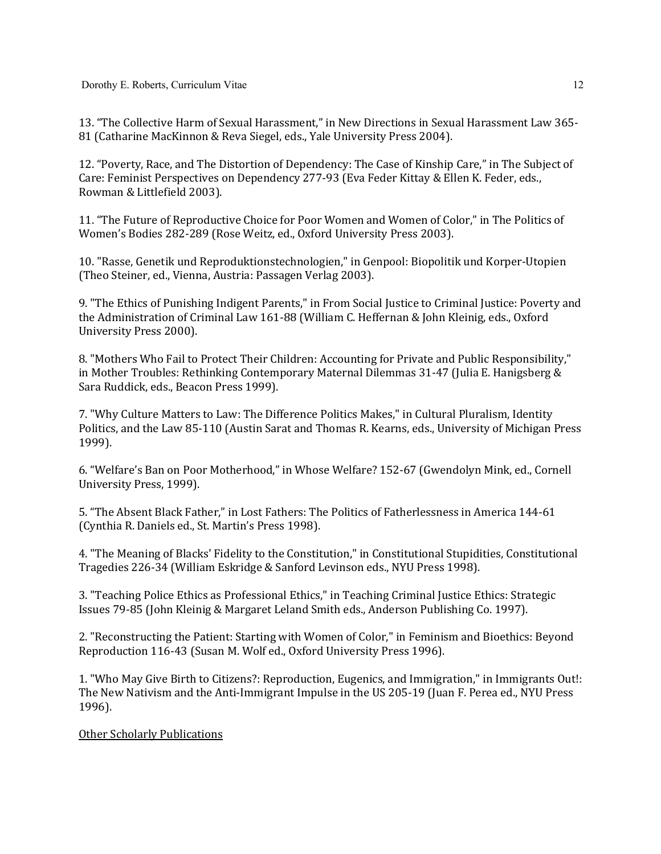13. "The Collective Harm of Sexual Harassment," in New Directions in Sexual Harassment Law 365-81 (Catharine MacKinnon & Reva Siegel, eds., Yale University Press 2004).

12. "Poverty, Race, and The Distortion of Dependency: The Case of Kinship Care," in The Subject of Care: Feminist Perspectives on Dependency 277-93 (Eva Feder Kittay & Ellen K. Feder, eds., Rowman & Littlefield 2003).

11. "The Future of Reproductive Choice for Poor Women and Women of Color," in The Politics of Women's Bodies 282-289 (Rose Weitz, ed., Oxford University Press 2003).

10. "Rasse, Genetik und Reproduktionstechnologien," in Genpool: Biopolitik und Korper-Utopien (Theo Steiner, ed., Vienna, Austria: Passagen Verlag 2003).

9. "The Ethics of Punishing Indigent Parents," in From Social Justice to Criminal Justice: Poverty and the Administration of Criminal Law 161-88 (William C. Heffernan & John Kleinig, eds., Oxford University Press 2000).

8. "Mothers Who Fail to Protect Their Children: Accounting for Private and Public Responsibility," in Mother Troubles: Rethinking Contemporary Maternal Dilemmas  $31-47$  (Julia E. Hanigsberg & Sara Ruddick, eds., Beacon Press 1999).

7. "Why Culture Matters to Law: The Difference Politics Makes," in Cultural Pluralism, Identity Politics, and the Law 85-110 (Austin Sarat and Thomas R. Kearns, eds., University of Michigan Press 1999).

6. "Welfare's Ban on Poor Motherhood," in Whose Welfare? 152-67 (Gwendolyn Mink, ed., Cornell University Press, 1999).

5. "The Absent Black Father," in Lost Fathers: The Politics of Fatherlessness in America 144-61 (Cynthia R. Daniels ed., St. Martin's Press 1998).

4. "The Meaning of Blacks' Fidelity to the Constitution," in Constitutional Stupidities, Constitutional Tragedies 226-34 (William Eskridge & Sanford Levinson eds., NYU Press 1998).

3. "Teaching Police Ethics as Professional Ethics," in Teaching Criminal Justice Ethics: Strategic Issues 79-85 (John Kleinig & Margaret Leland Smith eds., Anderson Publishing Co. 1997).

2. "Reconstructing the Patient: Starting with Women of Color," in Feminism and Bioethics: Beyond Reproduction 116-43 (Susan M. Wolf ed., Oxford University Press 1996).

1. "Who May Give Birth to Citizens?: Reproduction, Eugenics, and Immigration," in Immigrants Out!: The New Nativism and the Anti-Immigrant Impulse in the US 205-19 (Juan F. Perea ed., NYU Press 1996).

Other Scholarly Publications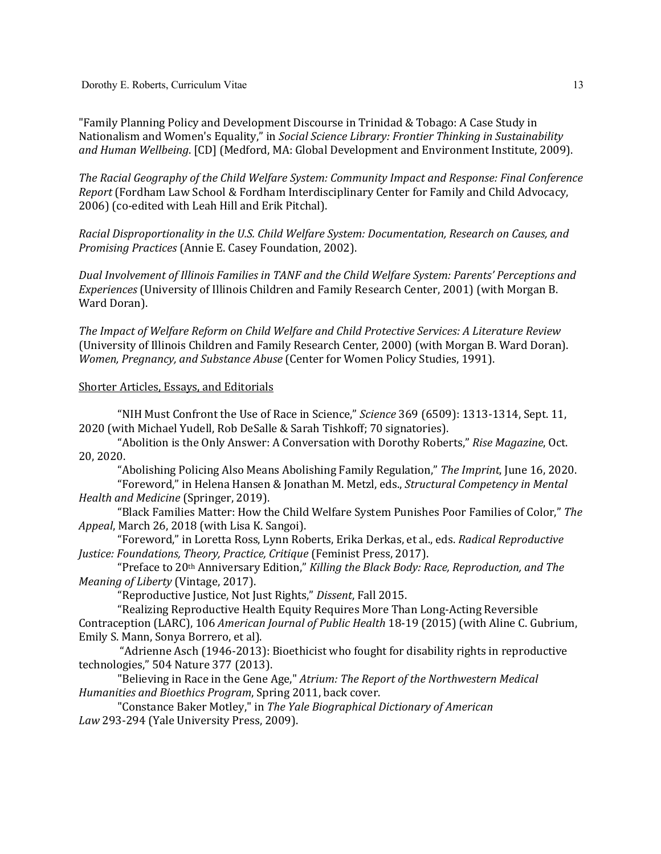Dorothy E. Roberts, Curriculum Vitae

"Family Planning Policy and Development Discourse in Trinidad & Tobago: A Case Study in Nationalism and Women's Equality," in *Social Science Library: Frontier Thinking in Sustainability* and Human Wellbeing. [CD] (Medford, MA: Global Development and Environment Institute, 2009).

The Racial Geography of the Child Welfare System: Community Impact and Response: Final Conference *Report* (Fordham Law School & Fordham Interdisciplinary Center for Family and Child Advocacy, 2006) (co-edited with Leah Hill and Erik Pitchal).

Racial Disproportionality in the U.S. Child Welfare System: Documentation, Research on Causes, and *Promising Practices* (Annie E. Casey Foundation, 2002).

*Dual Involvement of Illinois Families in TANF and the Child Welfare System: Parents' Perceptions and Experiences* (University of Illinois Children and Family Research Center, 2001) (with Morgan B. Ward Doran).

The Impact of Welfare Reform on Child Welfare and Child Protective Services: A Literature Review (University of Illinois Children and Family Research Center, 2000) (with Morgan B. Ward Doran). *Women, Pregnancy, and Substance Abuse* (Center for Women Policy Studies, 1991).

### Shorter Articles, Essays, and Editorials

"NIH Must Confront the Use of Race in Science," *Science* 369 (6509): 1313-1314, Sept. 11, 2020 (with Michael Yudell, Rob DeSalle & Sarah Tishkoff; 70 signatories).

"Abolition is the Only Answer: A Conversation with Dorothy Roberts," Rise Magazine, Oct. 20, 2020.

"Abolishing Policing Also Means Abolishing Family Regulation," The Imprint, June 16, 2020.

"Foreword," in Helena Hansen & Jonathan M. Metzl, eds., *Structural Competency in Mental Health and Medicine* (Springer, 2019).

"Black Families Matter: How the Child Welfare System Punishes Poor Families of Color," The *Appeal*, March 26, 2018 (with Lisa K. Sangoi).

"Foreword," in Loretta Ross, Lynn Roberts, Erika Derkas, et al., eds. *Radical Reproductive Justice: Foundations, Theory, Practice, Critique* (Feminist Press, 2017).

"Preface to 20<sup>th</sup> Anniversary Edition," *Killing the Black Body: Race, Reproduction, and The Meaning of Liberty* (Vintage, 2017).

"Reproductive Justice, Not Just Rights," Dissent, Fall 2015.

"Realizing Reproductive Health Equity Requires More Than Long-Acting Reversible Contraception (LARC), 106 *American Journal of Public Health* 18-19 (2015) (with Aline C. Gubrium, Emily S. Mann, Sonya Borrero, et al).

"Adrienne Asch (1946-2013): Bioethicist who fought for disability rights in reproductive technologies," 504 Nature 377 (2013).

"Believing in Race in the Gene Age," Atrium: The Report of the Northwestern Medical *Humanities and Bioethics Program*, Spring 2011, back cover.

"Constance Baker Motley," in *The Yale Biographical Dictionary of American* Law 293-294 (Yale University Press, 2009).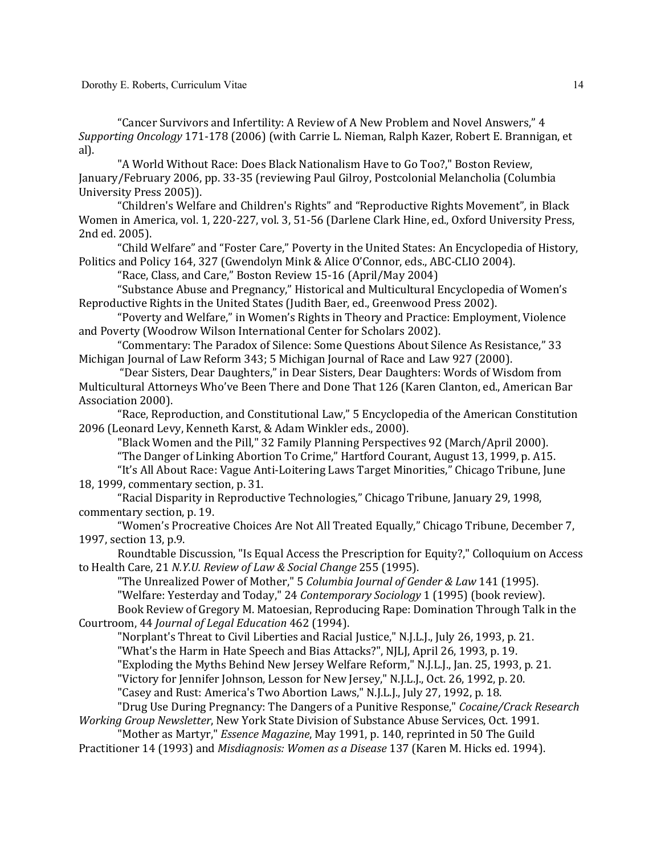Dorothy E. Roberts, Curriculum Vitae

"Cancer Survivors and Infertility: A Review of A New Problem and Novel Answers," 4 *Supporting Oncology* 171-178 (2006) (with Carrie L. Nieman, Ralph Kazer, Robert E. Brannigan, et al).

"A World Without Race: Does Black Nationalism Have to Go Too?," Boston Review, January/February 2006, pp. 33-35 (reviewing Paul Gilroy, Postcolonial Melancholia (Columbia University Press 2005)).

"Children's Welfare and Children's Rights" and "Reproductive Rights Movement", in Black Women in America, vol. 1, 220-227, vol. 3, 51-56 (Darlene Clark Hine, ed., Oxford University Press, 2nd ed. 2005).

"Child Welfare" and "Foster Care," Poverty in the United States: An Encyclopedia of History, Politics and Policy 164, 327 (Gwendolyn Mink & Alice O'Connor, eds., ABC-CLIO 2004).

"Race, Class, and Care," Boston Review 15-16 (April/May 2004)

"Substance Abuse and Pregnancy," Historical and Multicultural Encyclopedia of Women's Reproductive Rights in the United States (Judith Baer, ed., Greenwood Press 2002).

"Poverty and Welfare," in Women's Rights in Theory and Practice: Employment, Violence and Poverty (Woodrow Wilson International Center for Scholars 2002).

"Commentary: The Paradox of Silence: Some Questions About Silence As Resistance," 33 Michigan Journal of Law Reform 343; 5 Michigan Journal of Race and Law 927 (2000).

"Dear Sisters, Dear Daughters," in Dear Sisters, Dear Daughters: Words of Wisdom from Multicultural Attorneys Who've Been There and Done That 126 (Karen Clanton, ed., American Bar Association 2000).

"Race, Reproduction, and Constitutional Law," 5 Encyclopedia of the American Constitution 2096 (Leonard Levy, Kenneth Karst, & Adam Winkler eds., 2000).

"Black Women and the Pill," 32 Family Planning Perspectives 92 (March/April 2000).

"The Danger of Linking Abortion To Crime," Hartford Courant, August 13, 1999, p. A15.

"It's All About Race: Vague Anti-Loitering Laws Target Minorities," Chicago Tribune, June 18, 1999, commentary section, p. 31.

"Racial Disparity in Reproductive Technologies," Chicago Tribune, January 29, 1998, commentary section, p. 19.

"Women's Procreative Choices Are Not All Treated Equally," Chicago Tribune, December 7, 1997, section 13, p.9.

Roundtable Discussion, "Is Equal Access the Prescription for Equity?," Colloquium on Access to Health Care, 21 N.Y.U. Review of Law & Social Change 255 (1995).

"The Unrealized Power of Mother," 5 *Columbia Journal of Gender & Law* 141 (1995).

"Welfare: Yesterday and Today," 24 *Contemporary Sociology* 1 (1995) (book review).

Book Review of Gregory M. Matoesian, Reproducing Rape: Domination Through Talk in the Courtroom, 44 *Journal of Legal Education* 462 (1994).

"Norplant's Threat to Civil Liberties and Racial Justice," N.J.L.J., July 26, 1993, p. 21.

"What's the Harm in Hate Speech and Bias Attacks?", NJLJ, April 26, 1993, p. 19.

"Exploding the Myths Behind New Jersey Welfare Reform," N.J.L.J., Jan. 25, 1993, p. 21.

"Victory for Jennifer Johnson, Lesson for New Jersey," N.J.L.J., Oct. 26, 1992, p. 20.

"Casey and Rust: America's Two Abortion Laws," N.J.L.J., July 27, 1992, p. 18.

"Drug Use During Pregnancy: The Dangers of a Punitive Response," *Cocaine/Crack Research Working Group Newsletter*, New York State Division of Substance Abuse Services, Oct. 1991.

"Mother as Martyr," *Essence Magazine*, May 1991, p. 140, reprinted in 50 The Guild Practitioner 14 (1993) and *Misdiagnosis: Women as a Disease* 137 (Karen M. Hicks ed. 1994).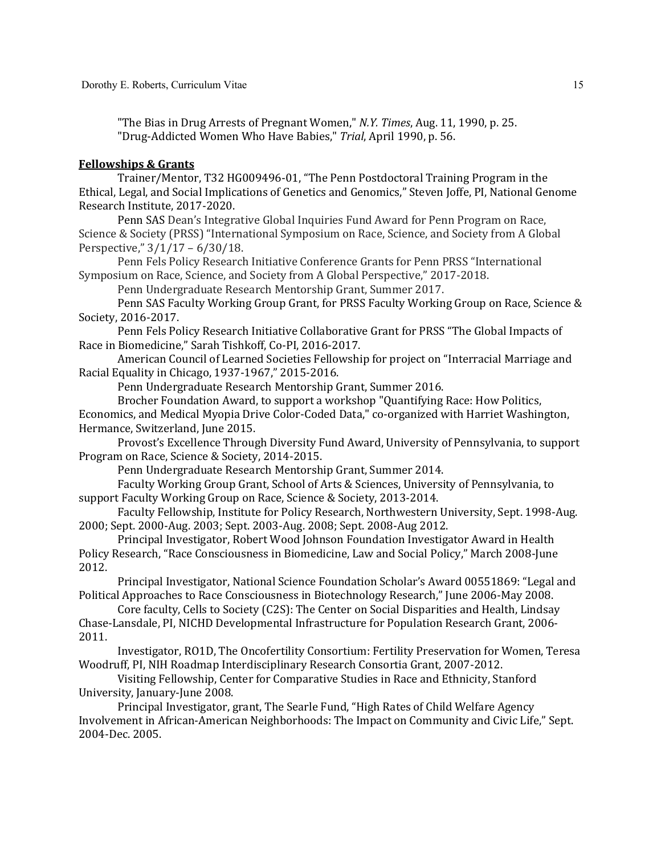"The Bias in Drug Arrests of Pregnant Women," *N.Y. Times*, Aug. 11, 1990, p. 25. "Drug-Addicted Women Who Have Babies," Trial, April 1990, p. 56.

### **Fellowships & Grants**

Trainer/Mentor, T32 HG009496-01, "The Penn Postdoctoral Training Program in the Ethical, Legal, and Social Implications of Genetics and Genomics," Steven Joffe, PI, National Genome Research Institute, 2017-2020.

Penn SAS Dean's Integrative Global Inquiries Fund Award for Penn Program on Race, Science & Society (PRSS) "International Symposium on Race, Science, and Society from A Global Perspective,"  $3/1/17 - 6/30/18$ .

Penn Fels Policy Research Initiative Conference Grants for Penn PRSS "International Symposium on Race, Science, and Society from A Global Perspective," 2017-2018.

Penn Undergraduate Research Mentorship Grant, Summer 2017.

Penn SAS Faculty Working Group Grant, for PRSS Faculty Working Group on Race, Science & Society, 2016-2017.

Penn Fels Policy Research Initiative Collaborative Grant for PRSS "The Global Impacts of Race in Biomedicine," Sarah Tishkoff, Co-PI, 2016-2017.

American Council of Learned Societies Fellowship for project on "Interracial Marriage and Racial Equality in Chicago, 1937-1967," 2015-2016.

Penn Undergraduate Research Mentorship Grant, Summer 2016.

Brocher Foundation Award, to support a workshop "Quantifying Race: How Politics,

Economics, and Medical Myopia Drive Color-Coded Data," co-organized with Harriet Washington, Hermance, Switzerland, June 2015.

Provost's Excellence Through Diversity Fund Award, University of Pennsylvania, to support Program on Race, Science & Society, 2014-2015.

Penn Undergraduate Research Mentorship Grant, Summer 2014.

Faculty Working Group Grant, School of Arts & Sciences, University of Pennsylvania, to support Faculty Working Group on Race, Science & Society, 2013-2014.

Faculty Fellowship, Institute for Policy Research, Northwestern University, Sept. 1998-Aug. 2000; Sept. 2000-Aug. 2003; Sept. 2003-Aug. 2008; Sept. 2008-Aug 2012.

Principal Investigator, Robert Wood Johnson Foundation Investigator Award in Health Policy Research, "Race Consciousness in Biomedicine, Law and Social Policy," March 2008-June 2012.

Principal Investigator, National Science Foundation Scholar's Award 00551869: "Legal and Political Approaches to Race Consciousness in Biotechnology Research," June 2006-May 2008.

Core faculty, Cells to Society (C2S): The Center on Social Disparities and Health, Lindsay Chase-Lansdale, PI, NICHD Developmental Infrastructure for Population Research Grant, 2006-2011.

Investigator, RO1D, The Oncofertility Consortium: Fertility Preservation for Women, Teresa Woodruff, PI, NIH Roadmap Interdisciplinary Research Consortia Grant, 2007-2012.

Visiting Fellowship, Center for Comparative Studies in Race and Ethnicity, Stanford University, January-June 2008.

Principal Investigator, grant, The Searle Fund, "High Rates of Child Welfare Agency Involvement in African-American Neighborhoods: The Impact on Community and Civic Life," Sept. 2004-Dec. 2005.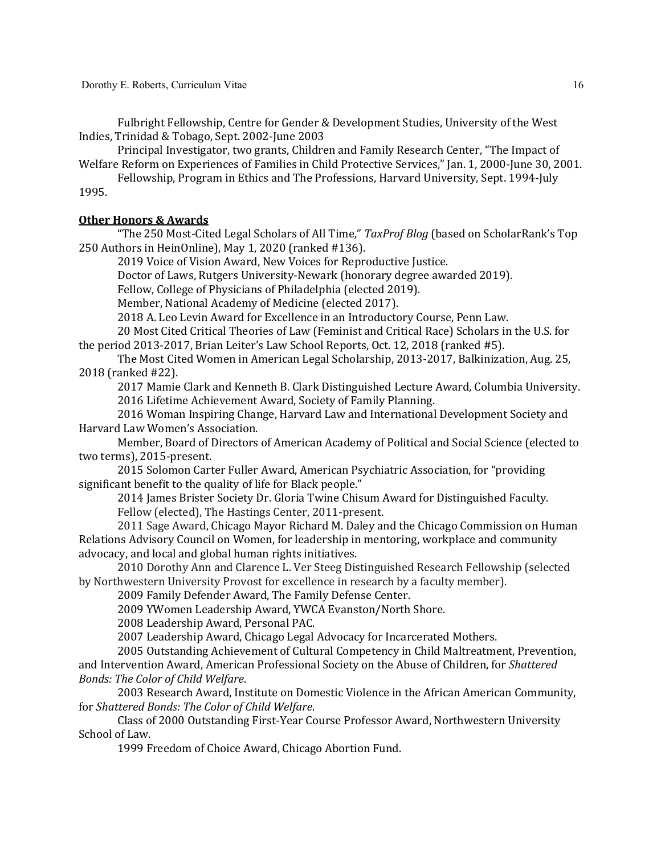Fulbright Fellowship, Centre for Gender & Development Studies, University of the West Indies, Trinidad & Tobago, Sept. 2002-June 2003

Principal Investigator, two grants, Children and Family Research Center, "The Impact of Welfare Reform on Experiences of Families in Child Protective Services," [an. 1, 2000-June 30, 2001.

Fellowship, Program in Ethics and The Professions, Harvard University, Sept. 1994-July 1995.

## **Other Honors & Awards**

"The 250 Most-Cited Legal Scholars of All Time," TaxProf Blog (based on ScholarRank's Top 250 Authors in HeinOnline), May 1, 2020 (ranked #136).

2019 Voice of Vision Award, New Voices for Reproductive Justice.

Doctor of Laws, Rutgers University-Newark (honorary degree awarded 2019).

Fellow, College of Physicians of Philadelphia (elected 2019).

Member, National Academy of Medicine (elected 2017).

2018 A. Leo Levin Award for Excellence in an Introductory Course, Penn Law.

20 Most Cited Critical Theories of Law (Feminist and Critical Race) Scholars in the U.S. for the period  $2013-2017$ , Brian Leiter's Law School Reports, Oct. 12, 2018 (ranked #5).

The Most Cited Women in American Legal Scholarship, 2013-2017, Balkinization, Aug. 25, 2018 (ranked #22).

2017 Mamie Clark and Kenneth B. Clark Distinguished Lecture Award, Columbia University. 2016 Lifetime Achievement Award, Society of Family Planning.

2016 Woman Inspiring Change, Harvard Law and International Development Society and Harvard Law Women's Association.

Member, Board of Directors of American Academy of Political and Social Science (elected to two terms), 2015-present.

2015 Solomon Carter Fuller Award, American Psychiatric Association, for "providing significant benefit to the quality of life for Black people."

2014 James Brister Society Dr. Gloria Twine Chisum Award for Distinguished Faculty. Fellow (elected), The Hastings Center, 2011-present.

2011 Sage Award, Chicago Mayor Richard M. Daley and the Chicago Commission on Human Relations Advisory Council on Women, for leadership in mentoring, workplace and community advocacy, and local and global human rights initiatives.

2010 Dorothy Ann and Clarence L. Ver Steeg Distinguished Research Fellowship (selected by Northwestern University Provost for excellence in research by a faculty member).

2009 Family Defender Award, The Family Defense Center.

2009 YWomen Leadership Award, YWCA Evanston/North Shore.

2008 Leadership Award, Personal PAC.

2007 Leadership Award, Chicago Legal Advocacy for Incarcerated Mothers.

2005 Outstanding Achievement of Cultural Competency in Child Maltreatment, Prevention, and Intervention Award, American Professional Society on the Abuse of Children, for Shattered **Bonds: The Color of Child Welfare.** 

2003 Research Award, Institute on Domestic Violence in the African American Community, for Shattered Bonds: The Color of Child Welfare.

Class of 2000 Outstanding First-Year Course Professor Award, Northwestern University School of Law.

1999 Freedom of Choice Award, Chicago Abortion Fund.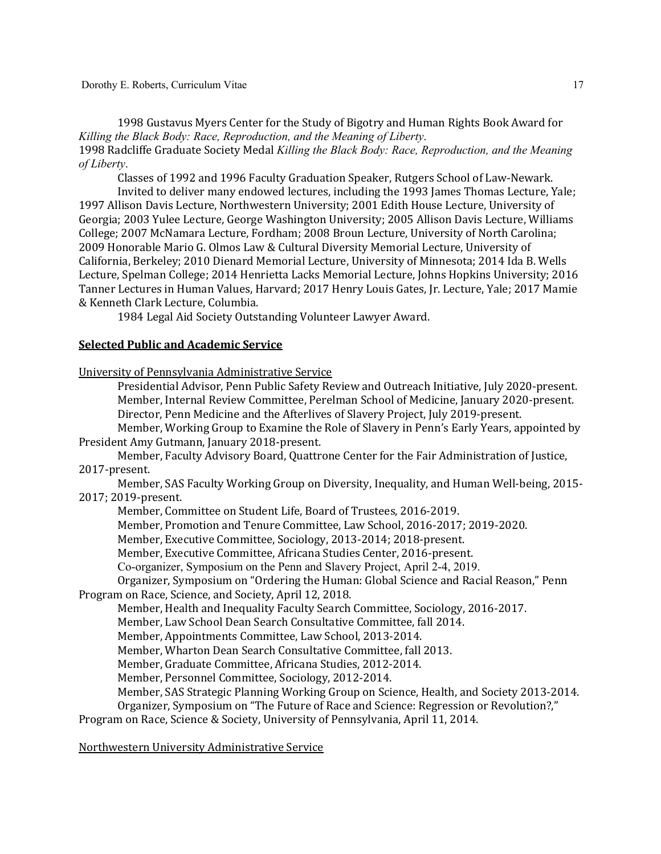1998 Gustavus Myers Center for the Study of Bigotry and Human Rights Book Award for *Killing the Black Body: Race, Reproduction, and the Meaning of Liberty*. 1998 Radcliffe Graduate Society Medal *Killing the Black Body: Race, Reproduction, and the Meaning of Liberty*.

Classes of 1992 and 1996 Faculty Graduation Speaker, Rutgers School of Law-Newark. Invited to deliver many endowed lectures, including the 1993 James Thomas Lecture, Yale;

1997 Allison Davis Lecture, Northwestern University; 2001 Edith House Lecture, University of Georgia; 2003 Yulee Lecture, George Washington University; 2005 Allison Davis Lecture, Williams College; 2007 McNamara Lecture, Fordham; 2008 Broun Lecture, University of North Carolina; 2009 Honorable Mario G. Olmos Law & Cultural Diversity Memorial Lecture, University of California, Berkeley; 2010 Dienard Memorial Lecture, University of Minnesota; 2014 Ida B. Wells Lecture, Spelman College; 2014 Henrietta Lacks Memorial Lecture, Johns Hopkins University; 2016 Tanner Lectures in Human Values, Harvard; 2017 Henry Louis Gates, Jr. Lecture, Yale; 2017 Mamie & Kenneth Clark Lecture, Columbia.

1984 Legal Aid Society Outstanding Volunteer Lawyer Award.

### **Selected Public and Academic Service**

University of Pennsylvania Administrative Service

Presidential Advisor, Penn Public Safety Review and Outreach Initiative, July 2020-present. Member, Internal Review Committee, Perelman School of Medicine, January 2020-present. Director, Penn Medicine and the Afterlives of Slavery Project, July 2019-present.

Member, Working Group to Examine the Role of Slavery in Penn's Early Years, appointed by President Amy Gutmann, January 2018-present.

Member, Faculty Advisory Board, Quattrone Center for the Fair Administration of Justice, 2017-present.

Member, SAS Faculty Working Group on Diversity, Inequality, and Human Well-being, 2015-2017; 2019-present.

Member, Committee on Student Life, Board of Trustees, 2016-2019.

Member, Promotion and Tenure Committee, Law School, 2016-2017; 2019-2020.

Member, Executive Committee, Sociology, 2013-2014; 2018-present.

Member, Executive Committee, Africana Studies Center, 2016-present.

Co-organizer, Symposium on the Penn and Slavery Project, April 2-4, 2019.

Organizer, Symposium on "Ordering the Human: Global Science and Racial Reason," Penn Program on Race, Science, and Society, April 12, 2018.

Member, Health and Inequality Faculty Search Committee, Sociology, 2016-2017.

Member, Law School Dean Search Consultative Committee, fall 2014.

Member, Appointments Committee, Law School, 2013-2014.

Member, Wharton Dean Search Consultative Committee, fall 2013.

Member, Graduate Committee, Africana Studies, 2012-2014.

Member, Personnel Committee, Sociology, 2012-2014.

Member, SAS Strategic Planning Working Group on Science, Health, and Society 2013-2014.

Organizer, Symposium on "The Future of Race and Science: Regression or Revolution?,"

Program on Race, Science & Society, University of Pennsylvania, April 11, 2014.

Northwestern University Administrative Service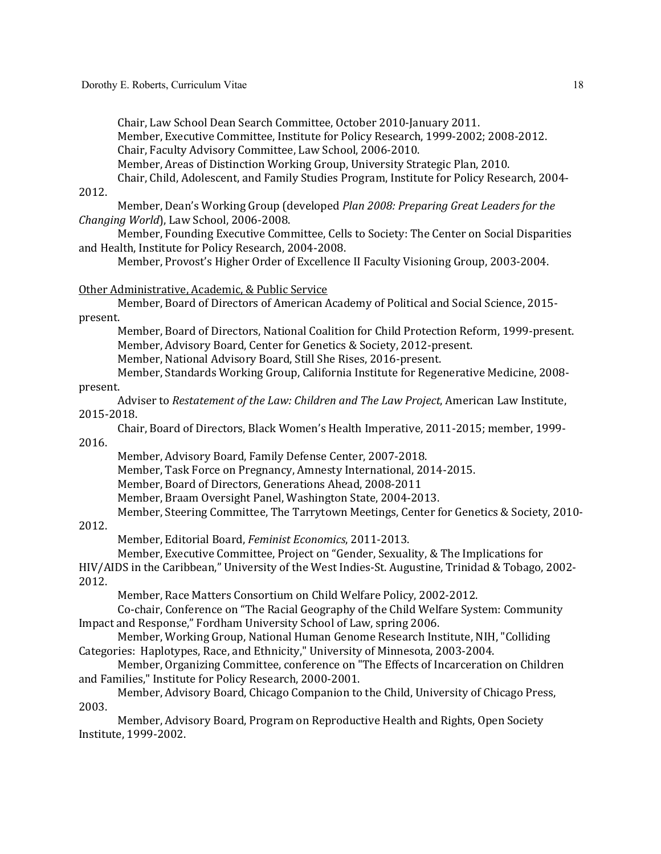Chair, Law School Dean Search Committee, October 2010-January 2011.

Member, Executive Committee, Institute for Policy Research, 1999-2002; 2008-2012.

Chair, Faculty Advisory Committee, Law School, 2006-2010.

Member, Areas of Distinction Working Group, University Strategic Plan, 2010.

Chair, Child, Adolescent, and Family Studies Program, Institute for Policy Research, 2004-2012.

Member, Dean's Working Group (developed *Plan 2008: Preparing Great Leaders for the Changing World*), Law School, 2006-2008.

Member, Founding Executive Committee, Cells to Society: The Center on Social Disparities and Health, Institute for Policy Research, 2004-2008.

Member, Provost's Higher Order of Excellence II Faculty Visioning Group, 2003-2004.

### Other Administrative, Academic, & Public Service

Member, Board of Directors of American Academy of Political and Social Science, 2015present.

Member, Board of Directors, National Coalition for Child Protection Reform, 1999-present. Member, Advisory Board, Center for Genetics & Society, 2012-present.

Member, National Advisory Board, Still She Rises, 2016-present.

Member, Standards Working Group, California Institute for Regenerative Medicine, 2008present.

Adviser to *Restatement of the Law: Children and The Law Project*, American Law Institute, 2015-2018.

Chair, Board of Directors, Black Women's Health Imperative, 2011-2015; member, 1999-

2016.

Member, Advisory Board, Family Defense Center, 2007-2018. Member, Task Force on Pregnancy, Amnesty International, 2014-2015. Member, Board of Directors, Generations Ahead, 2008-2011 Member, Braam Oversight Panel, Washington State, 2004-2013.

Member, Steering Committee, The Tarrytown Meetings, Center for Genetics & Society, 2010-

## 2012.

Member, Editorial Board, *Feminist Economics*, 2011-2013.

Member, Executive Committee, Project on "Gender, Sexuality, & The Implications for HIV/AIDS in the Caribbean," University of the West Indies-St. Augustine, Trinidad & Tobago, 2002-2012.

Member, Race Matters Consortium on Child Welfare Policy, 2002-2012.

Co-chair, Conference on "The Racial Geography of the Child Welfare System: Community Impact and Response," Fordham University School of Law, spring 2006.

Member, Working Group, National Human Genome Research Institute, NIH, "Colliding Categories: Haplotypes, Race, and Ethnicity," University of Minnesota, 2003-2004.

Member, Organizing Committee, conference on "The Effects of Incarceration on Children and Families," Institute for Policy Research, 2000-2001.

Member, Advisory Board, Chicago Companion to the Child, University of Chicago Press, 2003.

Member, Advisory Board, Program on Reproductive Health and Rights, Open Society Institute, 1999-2002.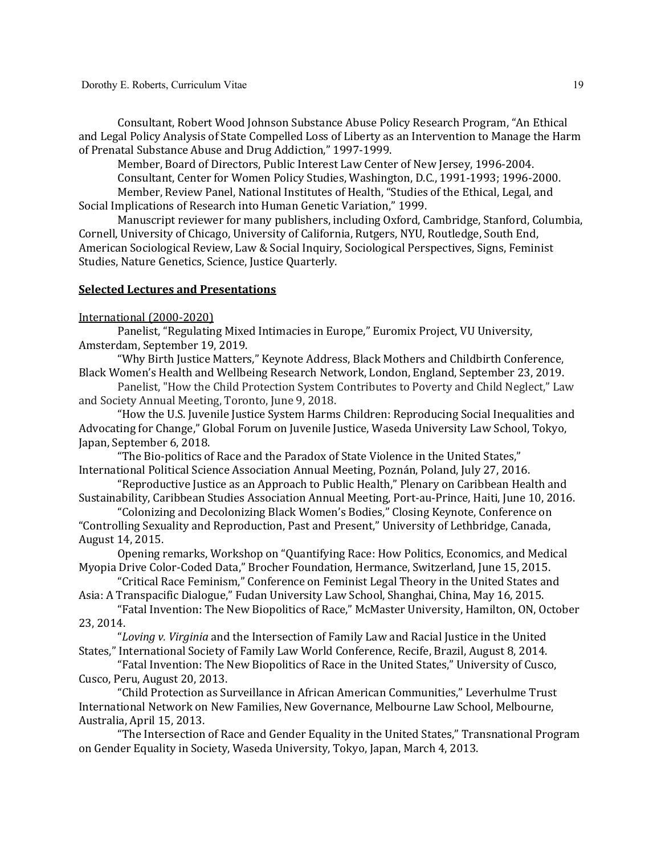Consultant, Robert Wood Johnson Substance Abuse Policy Research Program, "An Ethical and Legal Policy Analysis of State Compelled Loss of Liberty as an Intervention to Manage the Harm of Prenatal Substance Abuse and Drug Addiction," 1997-1999.

Member, Board of Directors, Public Interest Law Center of New Jersey, 1996-2004.

Consultant, Center for Women Policy Studies, Washington, D.C., 1991-1993; 1996-2000. Member, Review Panel, National Institutes of Health, "Studies of the Ethical, Legal, and Social Implications of Research into Human Genetic Variation," 1999.

Manuscript reviewer for many publishers, including Oxford, Cambridge, Stanford, Columbia, Cornell, University of Chicago, University of California, Rutgers, NYU, Routledge, South End, American Sociological Review, Law & Social Inquiry, Sociological Perspectives, Signs, Feminist Studies, Nature Genetics, Science, Justice Quarterly.

#### **Selected Lectures and Presentations**

International (2000-2020)

Panelist, "Regulating Mixed Intimacies in Europe," Euromix Project, VU University, Amsterdam, September 19, 2019.

"Why Birth Justice Matters," Keynote Address, Black Mothers and Childbirth Conference, Black Women's Health and Wellbeing Research Network, London, England, September 23, 2019.

Panelist, "How the Child Protection System Contributes to Poverty and Child Neglect," Law and Society Annual Meeting, Toronto, June 9, 2018.

"How the U.S. Juvenile Justice System Harms Children: Reproducing Social Inequalities and Advocating for Change," Global Forum on Juvenile Justice, Waseda University Law School, Tokyo, Japan, September 6, 2018.

"The Bio-politics of Race and the Paradox of State Violence in the United States," International Political Science Association Annual Meeting, Poznán, Poland, July 27, 2016.

"Reproductive Justice as an Approach to Public Health," Plenary on Caribbean Health and Sustainability, Caribbean Studies Association Annual Meeting, Port-au-Prince, Haiti, June 10, 2016.

"Colonizing and Decolonizing Black Women's Bodies," Closing Keynote, Conference on "Controlling Sexuality and Reproduction, Past and Present," University of Lethbridge, Canada, August 14, 2015.

Opening remarks, Workshop on "Quantifying Race: How Politics, Economics, and Medical Myopia Drive Color-Coded Data," Brocher Foundation, Hermance, Switzerland, June 15, 2015.

"Critical Race Feminism," Conference on Feminist Legal Theory in the United States and Asia: A Transpacific Dialogue," Fudan University Law School, Shanghai, China, May 16, 2015.

"Fatal Invention: The New Biopolitics of Race," McMaster University, Hamilton, ON, October 23, 2014.

"Loving v. Virginia and the Intersection of Family Law and Racial Justice in the United States," International Society of Family Law World Conference, Recife, Brazil, August 8, 2014.

"Fatal Invention: The New Biopolitics of Race in the United States," University of Cusco, Cusco, Peru, August 20, 2013.

"Child Protection as Surveillance in African American Communities," Leverhulme Trust International Network on New Families, New Governance, Melbourne Law School, Melbourne, Australia, April 15, 2013.

"The Intersection of Race and Gender Equality in the United States," Transnational Program on Gender Equality in Society, Waseda University, Tokyo, Japan, March 4, 2013.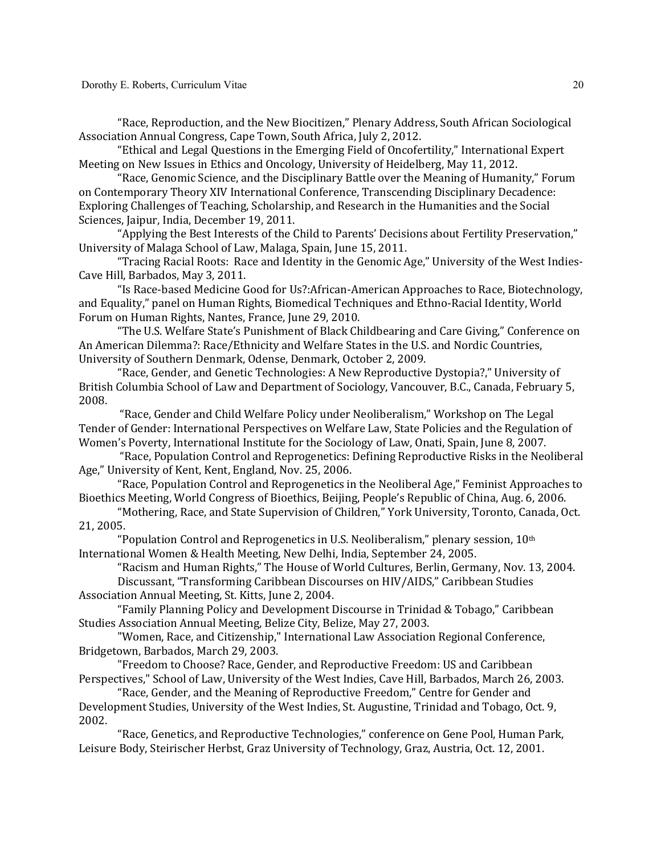"Race, Reproduction, and the New Biocitizen," Plenary Address, South African Sociological Association Annual Congress, Cape Town, South Africa, July 2, 2012.

"Ethical and Legal Questions in the Emerging Field of Oncofertility," International Expert Meeting on New Issues in Ethics and Oncology, University of Heidelberg, May 11, 2012.

"Race, Genomic Science, and the Disciplinary Battle over the Meaning of Humanity," Forum on Contemporary Theory XIV International Conference, Transcending Disciplinary Decadence: Exploring Challenges of Teaching, Scholarship, and Research in the Humanities and the Social Sciences, Jaipur, India, December 19, 2011.

"Applying the Best Interests of the Child to Parents' Decisions about Fertility Preservation," University of Malaga School of Law, Malaga, Spain, June 15, 2011.

"Tracing Racial Roots: Race and Identity in the Genomic Age," University of the West Indies-Cave Hill, Barbados, May 3, 2011.

"Is Race-based Medicine Good for Us?:African-American Approaches to Race, Biotechnology, and Equality," panel on Human Rights, Biomedical Techniques and Ethno-Racial Identity, World Forum on Human Rights, Nantes, France, June 29, 2010.

"The U.S. Welfare State's Punishment of Black Childbearing and Care Giving," Conference on An American Dilemma?: Race/Ethnicity and Welfare States in the U.S. and Nordic Countries, University of Southern Denmark, Odense, Denmark, October 2, 2009.

"Race, Gender, and Genetic Technologies: A New Reproductive Dystopia?," University of British Columbia School of Law and Department of Sociology, Vancouver, B.C., Canada, February 5, 2008.

"Race, Gender and Child Welfare Policy under Neoliberalism," Workshop on The Legal Tender of Gender: International Perspectives on Welfare Law, State Policies and the Regulation of Women's Poverty, International Institute for the Sociology of Law, Onati, Spain, June 8, 2007.

"Race, Population Control and Reprogenetics: Defining Reproductive Risks in the Neoliberal Age," University of Kent, Kent, England, Nov. 25, 2006.

"Race, Population Control and Reprogenetics in the Neoliberal Age," Feminist Approaches to Bioethics Meeting, World Congress of Bioethics, Beijing, People's Republic of China, Aug. 6, 2006.

"Mothering, Race, and State Supervision of Children," York University, Toronto, Canada, Oct. 21, 2005.

"Population Control and Reprogenetics in U.S. Neoliberalism," plenary session,  $10<sup>th</sup>$ International Women & Health Meeting, New Delhi, India, September 24, 2005.

"Racism and Human Rights," The House of World Cultures, Berlin, Germany, Nov. 13, 2004. Discussant, "Transforming Caribbean Discourses on HIV/AIDS," Caribbean Studies Association Annual Meeting, St. Kitts, June 2, 2004.

"Family Planning Policy and Development Discourse in Trinidad & Tobago," Caribbean Studies Association Annual Meeting, Belize City, Belize, May 27, 2003.

"Women, Race, and Citizenship," International Law Association Regional Conference, Bridgetown, Barbados, March 29, 2003.

"Freedom to Choose? Race, Gender, and Reproductive Freedom: US and Caribbean Perspectives," School of Law, University of the West Indies, Cave Hill, Barbados, March 26, 2003.

"Race, Gender, and the Meaning of Reproductive Freedom," Centre for Gender and Development Studies, University of the West Indies, St. Augustine, Trinidad and Tobago, Oct. 9, 2002.

"Race, Genetics, and Reproductive Technologies," conference on Gene Pool, Human Park, Leisure Body, Steirischer Herbst, Graz University of Technology, Graz, Austria, Oct. 12, 2001.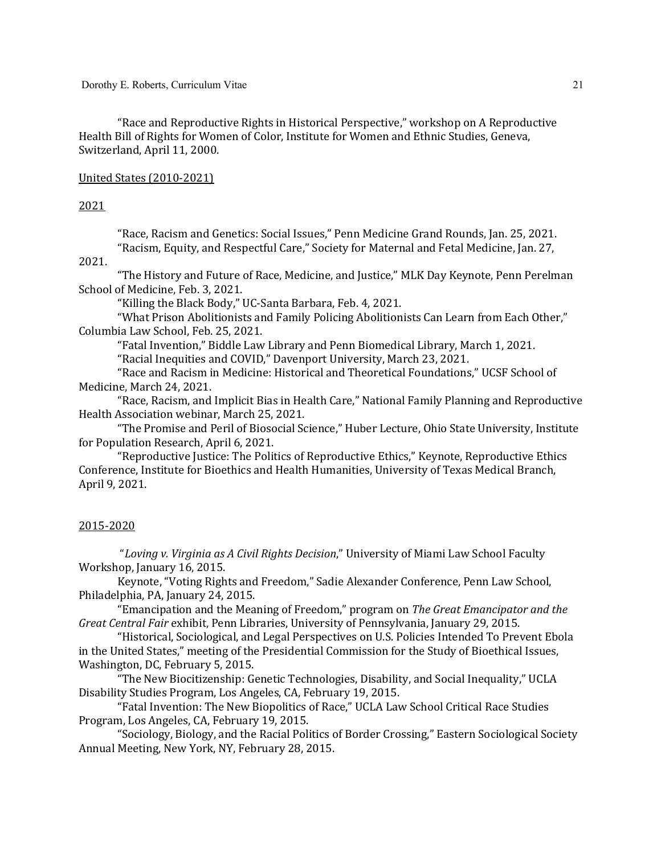Dorothy E. Roberts, Curriculum Vitae

"Race and Reproductive Rights in Historical Perspective," workshop on A Reproductive Health Bill of Rights for Women of Color, Institute for Women and Ethnic Studies, Geneva, Switzerland, April 11, 2000.

### United States (2010-2021)

#### 2021

"Race, Racism and Genetics: Social Issues," Penn Medicine Grand Rounds, Jan. 25, 2021. "Racism, Equity, and Respectful Care," Society for Maternal and Fetal Medicine, Jan. 27,

2021.

"The History and Future of Race, Medicine, and Justice," MLK Day Keynote, Penn Perelman School of Medicine, Feb. 3, 2021.

"Killing the Black Body," UC-Santa Barbara, Feb. 4, 2021.

"What Prison Abolitionists and Family Policing Abolitionists Can Learn from Each Other," Columbia Law School, Feb. 25, 2021.

"Fatal Invention," Biddle Law Library and Penn Biomedical Library, March 1, 2021.

"Racial Inequities and COVID," Davenport University, March 23, 2021.

"Race and Racism in Medicine: Historical and Theoretical Foundations," UCSF School of Medicine, March 24, 2021.

"Race, Racism, and Implicit Bias in Health Care," National Family Planning and Reproductive Health Association webinar, March 25, 2021.

"The Promise and Peril of Biosocial Science," Huber Lecture, Ohio State University, Institute for Population Research, April 6, 2021.

"Reproductive Justice: The Politics of Reproductive Ethics," Keynote, Reproductive Ethics Conference, Institute for Bioethics and Health Humanities, University of Texas Medical Branch, April 9, 2021.

### 2015-2020

"Loving v. Virginia as A Civil Rights Decision," University of Miami Law School Faculty Workshop, January 16, 2015.

Keynote, "Voting Rights and Freedom," Sadie Alexander Conference, Penn Law School, Philadelphia, PA, January 24, 2015.

"Emancipation and the Meaning of Freedom," program on The Great Emancipator and the *Great Central Fair* exhibit, Penn Libraries, University of Pennsylvania, January 29, 2015.

"Historical, Sociological, and Legal Perspectives on U.S. Policies Intended To Prevent Ebola in the United States," meeting of the Presidential Commission for the Study of Bioethical Issues, Washington, DC, February 5, 2015.

"The New Biocitizenship: Genetic Technologies, Disability, and Social Inequality," UCLA Disability Studies Program, Los Angeles, CA, February 19, 2015.

"Fatal Invention: The New Biopolitics of Race," UCLA Law School Critical Race Studies Program, Los Angeles, CA, February 19, 2015.

"Sociology, Biology, and the Racial Politics of Border Crossing," Eastern Sociological Society Annual Meeting, New York, NY, February 28, 2015.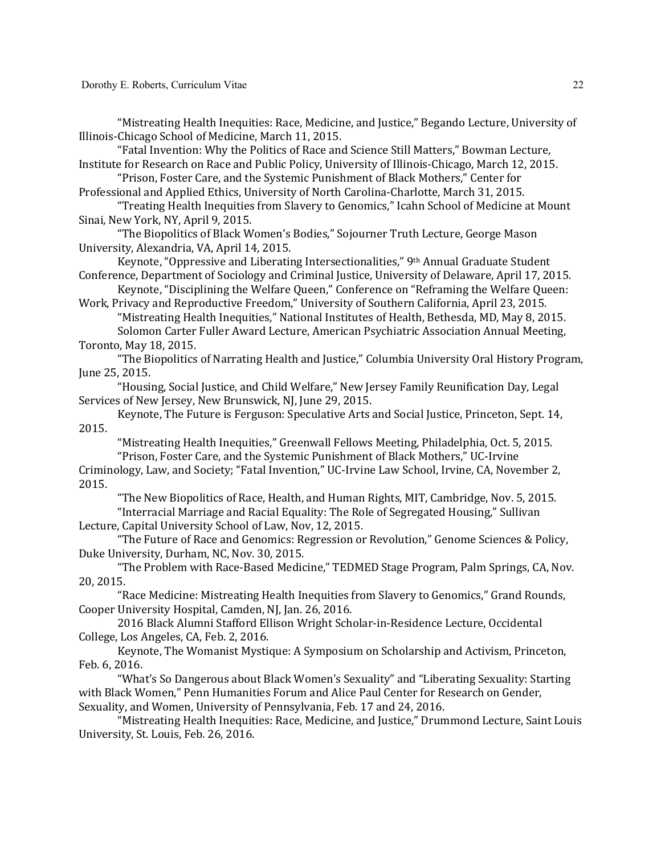"Mistreating Health Inequities: Race, Medicine, and Justice," Begando Lecture, University of Illinois-Chicago School of Medicine, March 11, 2015.

"Fatal Invention: Why the Politics of Race and Science Still Matters," Bowman Lecture, Institute for Research on Race and Public Policy, University of Illinois-Chicago, March 12, 2015.

"Prison, Foster Care, and the Systemic Punishment of Black Mothers," Center for Professional and Applied Ethics, University of North Carolina-Charlotte, March 31, 2015.

"Treating Health Inequities from Slavery to Genomics," Icahn School of Medicine at Mount Sinai, New York, NY, April 9, 2015.

"The Biopolitics of Black Women's Bodies," Sojourner Truth Lecture, George Mason University, Alexandria, VA, April 14, 2015.

Keynote, "Oppressive and Liberating Intersectionalities," 9th Annual Graduate Student Conference, Department of Sociology and Criminal Justice, University of Delaware, April 17, 2015.

Keynote, "Disciplining the Welfare Queen," Conference on "Reframing the Welfare Queen: Work, Privacy and Reproductive Freedom," University of Southern California, April 23, 2015.

"Mistreating Health Inequities," National Institutes of Health, Bethesda, MD, May 8, 2015. Solomon Carter Fuller Award Lecture, American Psychiatric Association Annual Meeting,

#### Toronto, May 18, 2015.

"The Biopolitics of Narrating Health and Justice," Columbia University Oral History Program, June 25, 2015.

"Housing, Social Justice, and Child Welfare," New Jersey Family Reunification Day, Legal Services of New Jersey, New Brunswick, NJ, June 29, 2015.

Keynote, The Future is Ferguson: Speculative Arts and Social Justice, Princeton, Sept. 14, 2015.

"Mistreating Health Inequities," Greenwall Fellows Meeting, Philadelphia, Oct. 5, 2015. "Prison, Foster Care, and the Systemic Punishment of Black Mothers," UC-Irvine

Criminology, Law, and Society; "Fatal Invention," UC-Irvine Law School, Irvine, CA, November 2, 2015.

"The New Biopolitics of Race, Health, and Human Rights, MIT, Cambridge, Nov. 5, 2015.

"Interracial Marriage and Racial Equality: The Role of Segregated Housing," Sullivan Lecture, Capital University School of Law, Nov, 12, 2015.

"The Future of Race and Genomics: Regression or Revolution," Genome Sciences & Policy, Duke University, Durham, NC, Nov. 30, 2015.

"The Problem with Race-Based Medicine," TEDMED Stage Program, Palm Springs, CA, Nov. 20, 2015.

"Race Medicine: Mistreating Health Inequities from Slavery to Genomics," Grand Rounds, Cooper University Hospital, Camden, NJ, Jan. 26, 2016.

2016 Black Alumni Stafford Ellison Wright Scholar-in-Residence Lecture, Occidental College, Los Angeles, CA, Feb. 2, 2016.

Keynote, The Womanist Mystique: A Symposium on Scholarship and Activism, Princeton, Feb. 6, 2016.

"What's So Dangerous about Black Women's Sexuality" and "Liberating Sexuality: Starting with Black Women," Penn Humanities Forum and Alice Paul Center for Research on Gender, Sexuality, and Women, University of Pennsylvania, Feb. 17 and 24, 2016.

"Mistreating Health Inequities: Race, Medicine, and Justice," Drummond Lecture, Saint Louis University, St. Louis, Feb. 26, 2016.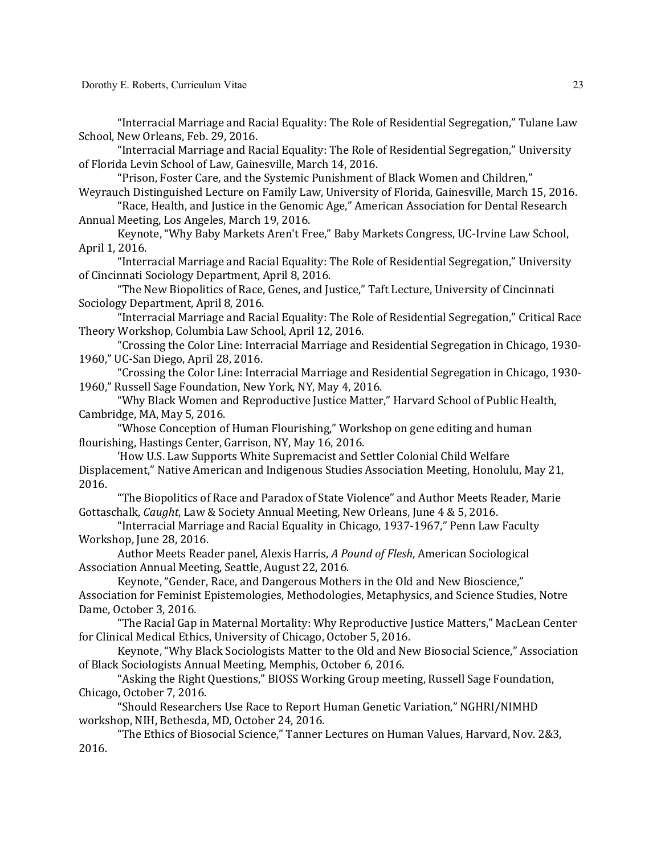"Interracial Marriage and Racial Equality: The Role of Residential Segregation," Tulane Law School, New Orleans, Feb. 29, 2016.

"Interracial Marriage and Racial Equality: The Role of Residential Segregation," University of Florida Levin School of Law, Gainesville, March 14, 2016.

"Prison, Foster Care, and the Systemic Punishment of Black Women and Children," Weyrauch Distinguished Lecture on Family Law, University of Florida, Gainesville, March 15, 2016.

"Race, Health, and Justice in the Genomic Age," American Association for Dental Research Annual Meeting, Los Angeles, March 19, 2016.

Keynote, "Why Baby Markets Aren't Free," Baby Markets Congress, UC-Irvine Law School, April 1, 2016.

"Interracial Marriage and Racial Equality: The Role of Residential Segregation," University of Cincinnati Sociology Department, April 8, 2016.

"The New Biopolitics of Race, Genes, and Justice," Taft Lecture, University of Cincinnati Sociology Department, April 8, 2016.

"Interracial Marriage and Racial Equality: The Role of Residential Segregation," Critical Race Theory Workshop, Columbia Law School, April 12, 2016.

"Crossing the Color Line: Interracial Marriage and Residential Segregation in Chicago, 1930-1960," UC-San Diego, April 28, 2016.

"Crossing the Color Line: Interracial Marriage and Residential Segregation in Chicago, 1930-1960," Russell Sage Foundation, New York, NY, May 4, 2016.

"Why Black Women and Reproductive Justice Matter," Harvard School of Public Health, Cambridge, MA, May 5, 2016.

"Whose Conception of Human Flourishing," Workshop on gene editing and human flourishing, Hastings Center, Garrison, NY, May 16, 2016.

'How U.S. Law Supports White Supremacist and Settler Colonial Child Welfare Displacement," Native American and Indigenous Studies Association Meeting, Honolulu, May 21, 2016.

"The Biopolitics of Race and Paradox of State Violence" and Author Meets Reader, Marie Gottaschalk, *Caught*, Law & Society Annual Meeting, New Orleans, June 4 & 5, 2016.

"Interracial Marriage and Racial Equality in Chicago, 1937-1967," Penn Law Faculty Workshop, June 28, 2016.

Author Meets Reader panel, Alexis Harris, *A Pound of Flesh*, American Sociological Association Annual Meeting, Seattle, August 22, 2016.

Keynote, "Gender, Race, and Dangerous Mothers in the Old and New Bioscience,"

Association for Feminist Epistemologies, Methodologies, Metaphysics, and Science Studies, Notre Dame, October 3, 2016.

"The Racial Gap in Maternal Mortality: Why Reproductive Justice Matters," MacLean Center for Clinical Medical Ethics, University of Chicago, October 5, 2016.

Keynote, "Why Black Sociologists Matter to the Old and New Biosocial Science," Association of Black Sociologists Annual Meeting, Memphis, October 6, 2016.

"Asking the Right Questions," BIOSS Working Group meeting, Russell Sage Foundation, Chicago, October 7, 2016.

"Should Researchers Use Race to Report Human Genetic Variation," NGHRI/NIMHD workshop, NIH, Bethesda, MD, October 24, 2016.

"The Ethics of Biosocial Science," Tanner Lectures on Human Values, Harvard, Nov. 2&3, 2016.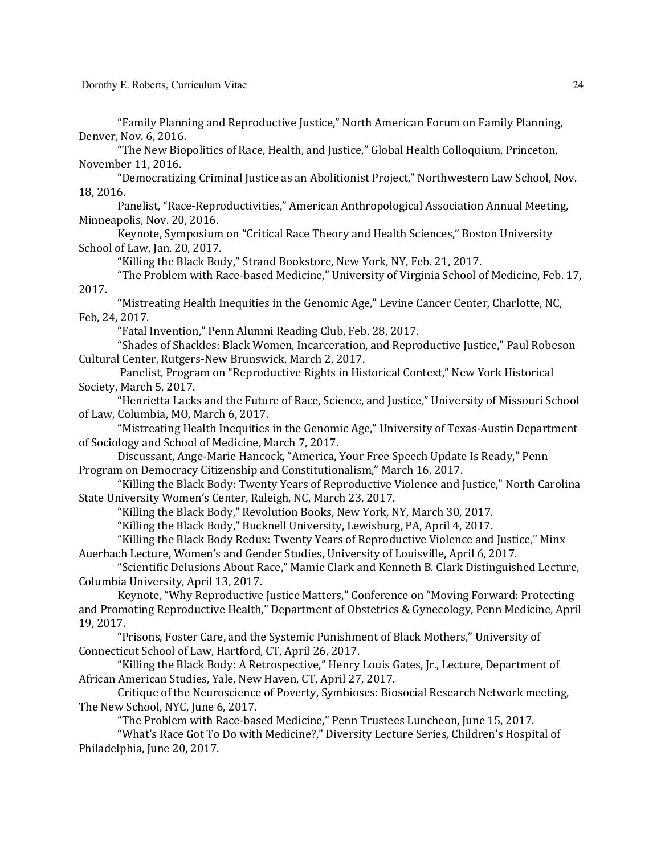Dorothy E. Roberts, Curriculum Vitae

"Family Planning and Reproductive Justice," North American Forum on Family Planning, Denver, Nov. 6, 2016.

"The New Biopolitics of Race, Health, and Justice," Global Health Colloquium, Princeton, November 11, 2016.

"Democratizing Criminal Justice as an Abolitionist Project," Northwestern Law School, Nov. 18, 2016.

Panelist, "Race-Reproductivities," American Anthropological Association Annual Meeting, Minneapolis, Nov. 20, 2016.

Keynote, Symposium on "Critical Race Theory and Health Sciences," Boston University School of Law, Jan. 20, 2017.

"Killing the Black Body," Strand Bookstore, New York, NY, Feb. 21, 2017.

"The Problem with Race-based Medicine," University of Virginia School of Medicine, Feb. 17, 2017.

"Mistreating Health Inequities in the Genomic Age," Levine Cancer Center, Charlotte, NC, Feb, 24, 2017.

"Fatal Invention," Penn Alumni Reading Club, Feb. 28, 2017.

"Shades of Shackles: Black Women, Incarceration, and Reproductive Justice," Paul Robeson Cultural Center, Rutgers-New Brunswick, March 2, 2017.

Panelist, Program on "Reproductive Rights in Historical Context," New York Historical Society, March 5, 2017.

"Henrietta Lacks and the Future of Race, Science, and Justice," University of Missouri School of Law, Columbia, MO, March 6, 2017.

"Mistreating Health Inequities in the Genomic Age," University of Texas-Austin Department of Sociology and School of Medicine, March 7, 2017.

Discussant, Ange-Marie Hancock, "America, Your Free Speech Update Is Ready," Penn Program on Democracy Citizenship and Constitutionalism," March 16, 2017.

"Killing the Black Body: Twenty Years of Reproductive Violence and Justice," North Carolina State University Women's Center, Raleigh, NC, March 23, 2017.

"Killing the Black Body," Revolution Books, New York, NY, March 30, 2017.

"Killing the Black Body," Bucknell University, Lewisburg, PA, April 4, 2017.

"Killing the Black Body Redux: Twenty Years of Reproductive Violence and Justice," Minx Auerbach Lecture, Women's and Gender Studies, University of Louisville, April 6, 2017.

"Scientific Delusions About Race," Mamie Clark and Kenneth B. Clark Distinguished Lecture, Columbia University, April 13, 2017.

Keynote, "Why Reproductive Justice Matters," Conference on "Moving Forward: Protecting and Promoting Reproductive Health," Department of Obstetrics & Gynecology, Penn Medicine, April 19, 2017.

"Prisons, Foster Care, and the Systemic Punishment of Black Mothers," University of Connecticut School of Law, Hartford, CT, April 26, 2017.

"Killing the Black Body: A Retrospective," Henry Louis Gates, Jr., Lecture, Department of African American Studies, Yale, New Haven, CT, April 27, 2017.

Critique of the Neuroscience of Poverty, Symbioses: Biosocial Research Network meeting, The New School, NYC, June 6, 2017.

"The Problem with Race-based Medicine," Penn Trustees Luncheon, June 15, 2017.

"What's Race Got To Do with Medicine?," Diversity Lecture Series, Children's Hospital of Philadelphia, June 20, 2017.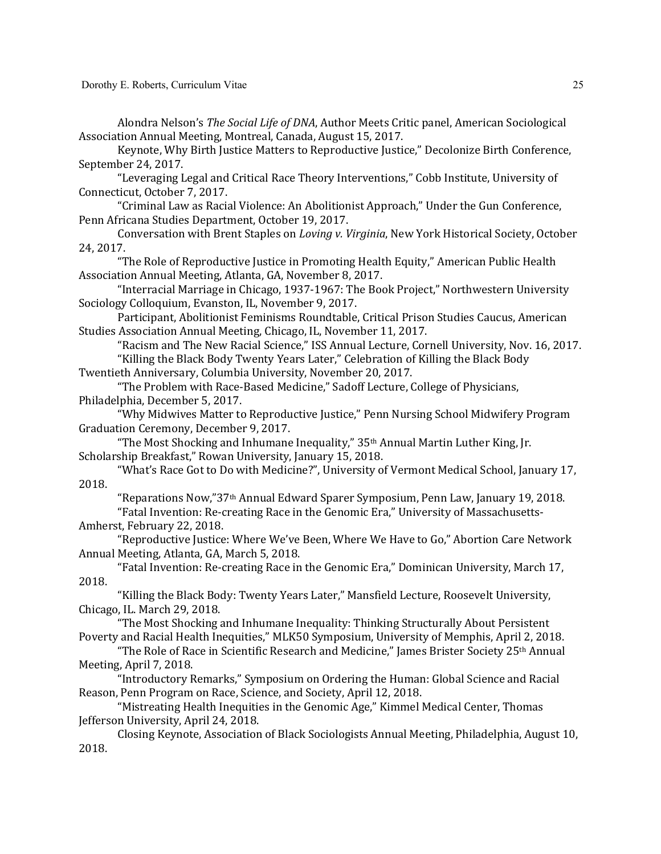Alondra Nelson's *The Social Life of DNA*, Author Meets Critic panel, American Sociological Association Annual Meeting, Montreal, Canada, August 15, 2017.

Keynote, Why Birth Justice Matters to Reproductive Justice," Decolonize Birth Conference, September 24, 2017.

"Leveraging Legal and Critical Race Theory Interventions," Cobb Institute, University of Connecticut, October 7, 2017.

"Criminal Law as Racial Violence: An Abolitionist Approach," Under the Gun Conference, Penn Africana Studies Department, October 19, 2017.

Conversation with Brent Staples on *Loving v. Virginia*, New York Historical Society, October 24, 2017.

"The Role of Reproductive Justice in Promoting Health Equity," American Public Health Association Annual Meeting, Atlanta, GA, November 8, 2017.

"Interracial Marriage in Chicago, 1937-1967: The Book Project," Northwestern University Sociology Colloquium, Evanston, IL, November 9, 2017.

Participant, Abolitionist Feminisms Roundtable, Critical Prison Studies Caucus, American Studies Association Annual Meeting, Chicago, IL, November 11, 2017.

"Racism and The New Racial Science," ISS Annual Lecture, Cornell University, Nov. 16, 2017. "Killing the Black Body Twenty Years Later," Celebration of Killing the Black Body

Twentieth Anniversary, Columbia University, November 20, 2017.

"The Problem with Race-Based Medicine," Sadoff Lecture, College of Physicians, Philadelphia, December 5, 2017.

"Why Midwives Matter to Reproductive Justice," Penn Nursing School Midwifery Program Graduation Ceremony, December 9, 2017.

"The Most Shocking and Inhumane Inequality,"  $35<sup>th</sup>$  Annual Martin Luther King, [r. Scholarship Breakfast," Rowan University, January 15, 2018.

"What's Race Got to Do with Medicine?", University of Vermont Medical School, January 17, 2018.

"Reparations Now,"37<sup>th</sup> Annual Edward Sparer Symposium, Penn Law, January 19, 2018.

"Fatal Invention: Re-creating Race in the Genomic Era," University of Massachusetts-Amherst, February 22, 2018.

"Reproductive Justice: Where We've Been, Where We Have to Go," Abortion Care Network Annual Meeting, Atlanta, GA, March 5, 2018.

"Fatal Invention: Re-creating Race in the Genomic Era," Dominican University, March 17, 2018.

"Killing the Black Body: Twenty Years Later," Mansfield Lecture, Roosevelt University, Chicago, IL. March 29, 2018.

"The Most Shocking and Inhumane Inequality: Thinking Structurally About Persistent Poverty and Racial Health Inequities," MLK50 Symposium, University of Memphis, April 2, 2018.

"The Role of Race in Scientific Research and Medicine," James Brister Society 25<sup>th</sup> Annual Meeting, April 7, 2018.

"Introductory Remarks," Symposium on Ordering the Human: Global Science and Racial Reason, Penn Program on Race, Science, and Society, April 12, 2018.

"Mistreating Health Inequities in the Genomic Age," Kimmel Medical Center, Thomas Jefferson University, April 24, 2018.

Closing Keynote, Association of Black Sociologists Annual Meeting, Philadelphia, August 10, 2018.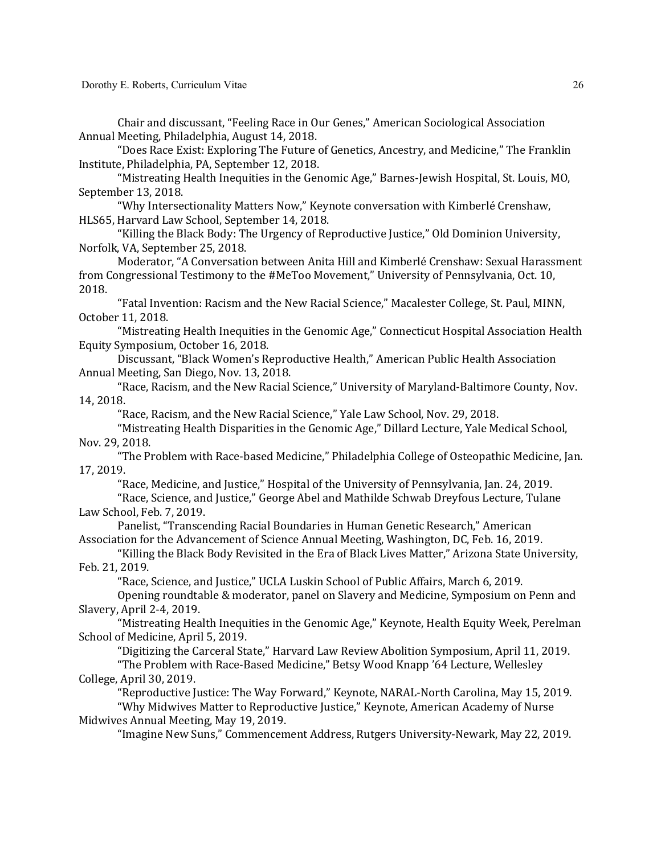Chair and discussant, "Feeling Race in Our Genes," American Sociological Association Annual Meeting, Philadelphia, August 14, 2018.

"Does Race Exist: Exploring The Future of Genetics, Ancestry, and Medicine," The Franklin Institute, Philadelphia, PA, September 12, 2018.

"Mistreating Health Inequities in the Genomic Age," Barnes-Jewish Hospital, St. Louis, MO, September 13, 2018.

"Why Intersectionality Matters Now," Keynote conversation with Kimberlé Crenshaw, HLS65, Harvard Law School, September 14, 2018.

"Killing the Black Body: The Urgency of Reproductive Justice," Old Dominion University, Norfolk, VA, September 25, 2018.

Moderator, "A Conversation between Anita Hill and Kimberlé Crenshaw: Sexual Harassment from Congressional Testimony to the #MeToo Movement," University of Pennsylvania, Oct. 10, 2018.

"Fatal Invention: Racism and the New Racial Science," Macalester College, St. Paul, MINN, October 11, 2018.

"Mistreating Health Inequities in the Genomic Age," Connecticut Hospital Association Health Equity Symposium, October 16, 2018.

Discussant, "Black Women's Reproductive Health," American Public Health Association Annual Meeting, San Diego, Nov. 13, 2018.

"Race, Racism, and the New Racial Science," University of Maryland-Baltimore County, Nov. 14, 2018.

"Race, Racism, and the New Racial Science," Yale Law School, Nov. 29, 2018.

"Mistreating Health Disparities in the Genomic Age," Dillard Lecture, Yale Medical School, Nov. 29, 2018.

"The Problem with Race-based Medicine," Philadelphia College of Osteopathic Medicine, Jan. 17, 2019.

"Race, Medicine, and Justice," Hospital of the University of Pennsylvania, Jan. 24, 2019.

"Race, Science, and Justice," George Abel and Mathilde Schwab Dreyfous Lecture, Tulane Law School, Feb. 7, 2019.

Panelist, "Transcending Racial Boundaries in Human Genetic Research," American Association for the Advancement of Science Annual Meeting, Washington, DC, Feb. 16, 2019.

"Killing the Black Body Revisited in the Era of Black Lives Matter," Arizona State University, Feb. 21, 2019.

"Race, Science, and Justice," UCLA Luskin School of Public Affairs, March 6, 2019.

Opening roundtable & moderator, panel on Slavery and Medicine, Symposium on Penn and Slavery, April 2-4, 2019.

"Mistreating Health Inequities in the Genomic Age," Keynote, Health Equity Week, Perelman School of Medicine, April 5, 2019.

"Digitizing the Carceral State," Harvard Law Review Abolition Symposium, April 11, 2019. "The Problem with Race-Based Medicine," Betsy Wood Knapp '64 Lecture, Wellesley

College, April 30, 2019.

"Reproductive Justice: The Way Forward," Keynote, NARAL-North Carolina, May 15, 2019.

"Why Midwives Matter to Reproductive Justice," Keynote, American Academy of Nurse Midwives Annual Meeting, May 19, 2019.

"Imagine New Suns," Commencement Address, Rutgers University-Newark, May 22, 2019.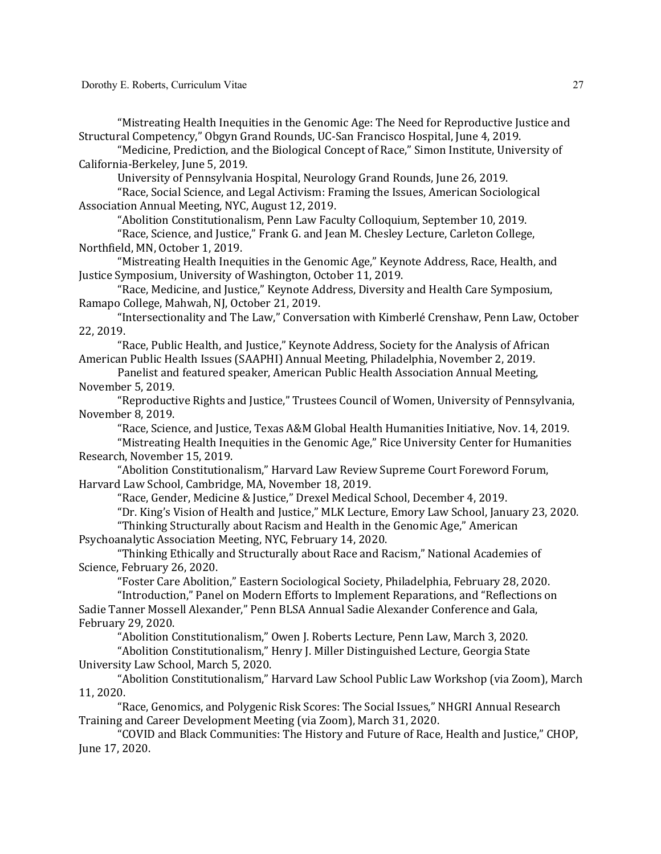"Mistreating Health Inequities in the Genomic Age: The Need for Reproductive Justice and Structural Competency," Obgyn Grand Rounds, UC-San Francisco Hospital, June 4, 2019.

"Medicine, Prediction, and the Biological Concept of Race," Simon Institute, University of California-Berkeley, June 5, 2019.

University of Pennsylvania Hospital, Neurology Grand Rounds, June 26, 2019.

"Race, Social Science, and Legal Activism: Framing the Issues, American Sociological Association Annual Meeting, NYC, August 12, 2019.

"Abolition Constitutionalism, Penn Law Faculty Colloquium, September 10, 2019.

"Race, Science, and Justice," Frank G. and Jean M. Chesley Lecture, Carleton College, Northfield, MN, October 1, 2019.

"Mistreating Health Inequities in the Genomic Age," Keynote Address, Race, Health, and Justice Symposium, University of Washington, October 11, 2019.

"Race, Medicine, and Justice," Keynote Address, Diversity and Health Care Symposium, Ramapo College, Mahwah, NJ, October 21, 2019.

"Intersectionality and The Law," Conversation with Kimberlé Crenshaw, Penn Law, October 22, 2019.

"Race, Public Health, and Justice," Keynote Address, Society for the Analysis of African American Public Health Issues (SAAPHI) Annual Meeting, Philadelphia, November 2, 2019.

Panelist and featured speaker, American Public Health Association Annual Meeting, November 5, 2019.

"Reproductive Rights and Justice," Trustees Council of Women, University of Pennsylvania, November 8, 2019.

"Race, Science, and Justice, Texas A&M Global Health Humanities Initiative, Nov. 14, 2019.

"Mistreating Health Inequities in the Genomic Age," Rice University Center for Humanities Research, November 15, 2019.

"Abolition Constitutionalism," Harvard Law Review Supreme Court Foreword Forum, Harvard Law School, Cambridge, MA, November 18, 2019.

"Race, Gender, Medicine & Justice," Drexel Medical School, December 4, 2019.

"Dr. King's Vision of Health and Justice," MLK Lecture, Emory Law School, January 23, 2020.

"Thinking Structurally about Racism and Health in the Genomic Age," American Psychoanalytic Association Meeting, NYC, February 14, 2020.

"Thinking Ethically and Structurally about Race and Racism," National Academies of Science, February 26, 2020.

"Foster Care Abolition," Eastern Sociological Society, Philadelphia, February 28, 2020.

"Introduction," Panel on Modern Efforts to Implement Reparations, and "Reflections on Sadie Tanner Mossell Alexander," Penn BLSA Annual Sadie Alexander Conference and Gala, February 29, 2020.

"Abolition Constitutionalism," Owen J. Roberts Lecture, Penn Law, March 3, 2020.

"Abolition Constitutionalism," Henry J. Miller Distinguished Lecture, Georgia State University Law School, March 5, 2020.

"Abolition Constitutionalism," Harvard Law School Public Law Workshop (via Zoom), March 11, 2020.

"Race, Genomics, and Polygenic Risk Scores: The Social Issues," NHGRI Annual Research Training and Career Development Meeting (via Zoom), March 31, 2020.

"COVID and Black Communities: The History and Future of Race, Health and Justice," CHOP, June 17, 2020.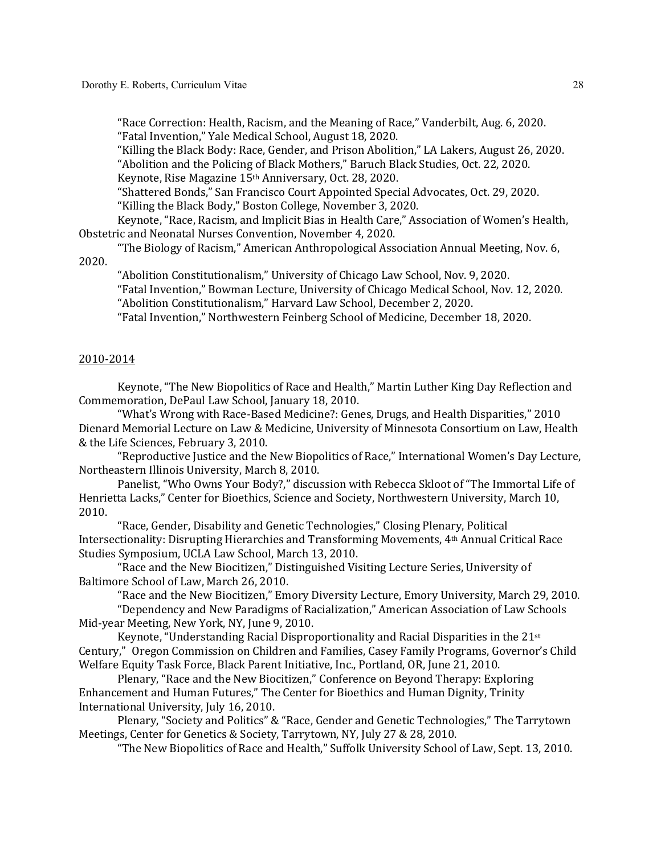"Race Correction: Health, Racism, and the Meaning of Race," Vanderbilt, Aug. 6, 2020. "Fatal Invention," Yale Medical School, August 18, 2020.

"Killing the Black Body: Race, Gender, and Prison Abolition," LA Lakers, August 26, 2020. "Abolition and the Policing of Black Mothers," Baruch Black Studies, Oct. 22, 2020. Keynote, Rise Magazine 15<sup>th</sup> Anniversary, Oct. 28, 2020.

"Shattered Bonds," San Francisco Court Appointed Special Advocates, Oct. 29, 2020. "Killing the Black Body," Boston College, November 3, 2020.

Keynote, "Race, Racism, and Implicit Bias in Health Care," Association of Women's Health, Obstetric and Neonatal Nurses Convention, November 4, 2020.

"The Biology of Racism," American Anthropological Association Annual Meeting, Nov. 6, 2020.

"Abolition Constitutionalism," University of Chicago Law School, Nov. 9, 2020.

"Fatal Invention," Bowman Lecture, University of Chicago Medical School, Nov. 12, 2020. "Abolition Constitutionalism," Harvard Law School, December 2, 2020.

"Fatal Invention," Northwestern Feinberg School of Medicine, December 18, 2020.

#### 2010-2014

Keynote, "The New Biopolitics of Race and Health," Martin Luther King Day Reflection and Commemoration, DePaul Law School, January 18, 2010.

"What's Wrong with Race-Based Medicine?: Genes, Drugs, and Health Disparities," 2010 Dienard Memorial Lecture on Law & Medicine, University of Minnesota Consortium on Law, Health & the Life Sciences, February 3, 2010.

"Reproductive Justice and the New Biopolitics of Race," International Women's Day Lecture, Northeastern Illinois University, March 8, 2010.

Panelist, "Who Owns Your Body?," discussion with Rebecca Skloot of "The Immortal Life of Henrietta Lacks," Center for Bioethics, Science and Society, Northwestern University, March 10, 2010.

"Race, Gender, Disability and Genetic Technologies," Closing Plenary, Political Intersectionality: Disrupting Hierarchies and Transforming Movements, 4<sup>th</sup> Annual Critical Race Studies Symposium, UCLA Law School, March 13, 2010.

"Race and the New Biocitizen," Distinguished Visiting Lecture Series, University of Baltimore School of Law, March 26, 2010.

"Race and the New Biocitizen," Emory Diversity Lecture, Emory University, March 29, 2010.

"Dependency and New Paradigms of Racialization," American Association of Law Schools Mid-year Meeting, New York, NY, June 9, 2010.

Keynote, "Understanding Racial Disproportionality and Racial Disparities in the 21<sup>st</sup> Century," Oregon Commission on Children and Families, Casey Family Programs, Governor's Child Welfare Equity Task Force, Black Parent Initiative, Inc., Portland, OR, June 21, 2010.

Plenary, "Race and the New Biocitizen," Conference on Beyond Therapy: Exploring Enhancement and Human Futures," The Center for Bioethics and Human Dignity, Trinity International University, July 16, 2010.

Plenary, "Society and Politics" & "Race, Gender and Genetic Technologies," The Tarrytown Meetings, Center for Genetics & Society, Tarrytown, NY, July 27 & 28, 2010.

"The New Biopolitics of Race and Health," Suffolk University School of Law, Sept. 13, 2010.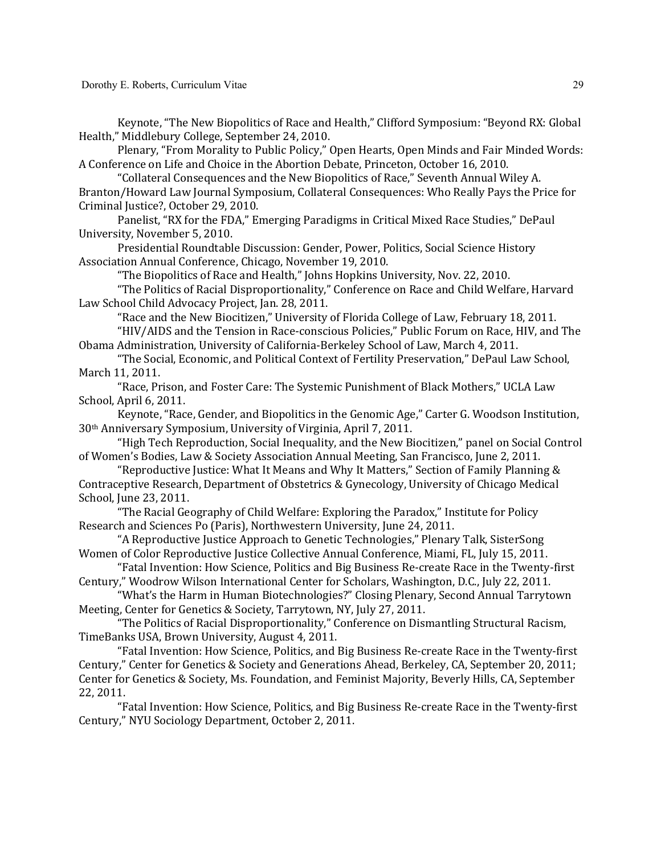Keynote, "The New Biopolitics of Race and Health," Clifford Symposium: "Beyond RX: Global Health," Middlebury College, September 24, 2010.

Plenary, "From Morality to Public Policy," Open Hearts, Open Minds and Fair Minded Words: A Conference on Life and Choice in the Abortion Debate, Princeton, October 16, 2010.

"Collateral Consequences and the New Biopolitics of Race," Seventh Annual Wiley A. Branton/Howard Law Journal Symposium, Collateral Consequences: Who Really Pays the Price for Criminal Justice?, October 29, 2010.

Panelist, "RX for the FDA," Emerging Paradigms in Critical Mixed Race Studies," DePaul University, November 5, 2010.

Presidential Roundtable Discussion: Gender, Power, Politics, Social Science History Association Annual Conference, Chicago, November 19, 2010.

"The Biopolitics of Race and Health," Johns Hopkins University, Nov. 22, 2010.

"The Politics of Racial Disproportionality," Conference on Race and Child Welfare, Harvard Law School Child Advocacy Project, Jan. 28, 2011.

"Race and the New Biocitizen," University of Florida College of Law, February 18, 2011. "HIV/AIDS and the Tension in Race-conscious Policies," Public Forum on Race, HIV, and The Obama Administration, University of California-Berkeley School of Law, March 4, 2011.

"The Social, Economic, and Political Context of Fertility Preservation," DePaul Law School, March 11, 2011.

"Race, Prison, and Foster Care: The Systemic Punishment of Black Mothers," UCLA Law School, April 6, 2011.

Keynote, "Race, Gender, and Biopolitics in the Genomic Age," Carter G. Woodson Institution, 30<sup>th</sup> Anniversary Symposium, University of Virginia, April 7, 2011.

"High Tech Reproduction, Social Inequality, and the New Biocitizen," panel on Social Control of Women's Bodies, Law & Society Association Annual Meeting, San Francisco, June 2, 2011.

"Reproductive Justice: What It Means and Why It Matters," Section of Family Planning  $&$ Contraceptive Research, Department of Obstetrics & Gynecology, University of Chicago Medical School, June 23, 2011.

"The Racial Geography of Child Welfare: Exploring the Paradox," Institute for Policy Research and Sciences Po (Paris), Northwestern University, June 24, 2011.

"A Reproductive Justice Approach to Genetic Technologies," Plenary Talk, SisterSong Women of Color Reproductive Justice Collective Annual Conference, Miami, FL, July 15, 2011.

"Fatal Invention: How Science, Politics and Big Business Re-create Race in the Twenty-first Century," Woodrow Wilson International Center for Scholars, Washington, D.C., July 22, 2011.

"What's the Harm in Human Biotechnologies?" Closing Plenary, Second Annual Tarrytown Meeting, Center for Genetics & Society, Tarrytown, NY, July 27, 2011.

"The Politics of Racial Disproportionality," Conference on Dismantling Structural Racism, TimeBanks USA, Brown University, August 4, 2011.

"Fatal Invention: How Science, Politics, and Big Business Re-create Race in the Twenty-first Century," Center for Genetics & Society and Generations Ahead, Berkeley, CA, September 20, 2011; Center for Genetics & Society, Ms. Foundation, and Feminist Majority, Beverly Hills, CA, September 22, 2011.

"Fatal Invention: How Science, Politics, and Big Business Re-create Race in the Twenty-first Century," NYU Sociology Department, October 2, 2011.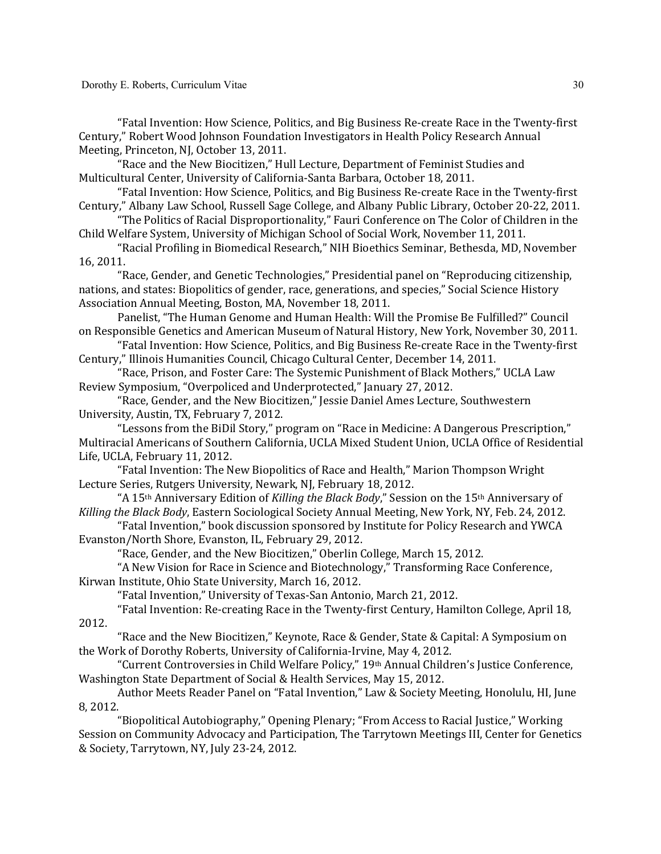Dorothy E. Roberts, Curriculum Vitae

"Fatal Invention: How Science, Politics, and Big Business Re-create Race in the Twenty-first Century," Robert Wood Johnson Foundation Investigators in Health Policy Research Annual Meeting, Princeton, NJ, October 13, 2011.

"Race and the New Biocitizen," Hull Lecture, Department of Feminist Studies and Multicultural Center, University of California-Santa Barbara, October 18, 2011.

"Fatal Invention: How Science, Politics, and Big Business Re-create Race in the Twenty-first Century," Albany Law School, Russell Sage College, and Albany Public Library, October 20-22, 2011.

"The Politics of Racial Disproportionality," Fauri Conference on The Color of Children in the Child Welfare System, University of Michigan School of Social Work, November 11, 2011.

"Racial Profiling in Biomedical Research," NIH Bioethics Seminar, Bethesda, MD, November 16, 2011. 

"Race, Gender, and Genetic Technologies," Presidential panel on "Reproducing citizenship, nations, and states: Biopolitics of gender, race, generations, and species," Social Science History Association Annual Meeting, Boston, MA, November 18, 2011.

Panelist, "The Human Genome and Human Health: Will the Promise Be Fulfilled?" Council on Responsible Genetics and American Museum of Natural History, New York, November 30, 2011.

"Fatal Invention: How Science, Politics, and Big Business Re-create Race in the Twenty-first Century," Illinois Humanities Council, Chicago Cultural Center, December 14, 2011.

"Race, Prison, and Foster Care: The Systemic Punishment of Black Mothers," UCLA Law Review Symposium, "Overpoliced and Underprotected," January 27, 2012.

"Race, Gender, and the New Biocitizen," Jessie Daniel Ames Lecture, Southwestern University, Austin, TX, February 7, 2012.

"Lessons from the BiDil Story," program on "Race in Medicine: A Dangerous Prescription," Multiracial Americans of Southern California, UCLA Mixed Student Union, UCLA Office of Residential Life, UCLA, February 11, 2012.

"Fatal Invention: The New Biopolitics of Race and Health," Marion Thompson Wright Lecture Series, Rutgers University, Newark, NJ, February 18, 2012.

"A 15<sup>th</sup> Anniversary Edition of *Killing the Black Body*," Session on the 15<sup>th</sup> Anniversary of *Killing the Black Body*, Eastern Sociological Society Annual Meeting, New York, NY, Feb. 24, 2012.

"Fatal Invention," book discussion sponsored by Institute for Policy Research and YWCA Evanston/North Shore, Evanston, IL, February 29, 2012.

"Race, Gender, and the New Biocitizen," Oberlin College, March 15, 2012.

"A New Vision for Race in Science and Biotechnology," Transforming Race Conference, Kirwan Institute, Ohio State University, March 16, 2012.

"Fatal Invention," University of Texas-San Antonio, March 21, 2012.

"Fatal Invention: Re-creating Race in the Twenty-first Century, Hamilton College, April 18, 2012.

"Race and the New Biocitizen," Keynote, Race & Gender, State & Capital: A Symposium on the Work of Dorothy Roberts, University of California-Irvine, May 4, 2012.

"Current Controversies in Child Welfare Policy," 19<sup>th</sup> Annual Children's Justice Conference, Washington State Department of Social & Health Services, May 15, 2012.

Author Meets Reader Panel on "Fatal Invention," Law & Society Meeting, Honolulu, HI, June 8, 2012.

"Biopolitical Autobiography," Opening Plenary; "From Access to Racial Justice," Working Session on Community Advocacy and Participation, The Tarrytown Meetings III, Center for Genetics & Society, Tarrytown, NY, July 23-24, 2012.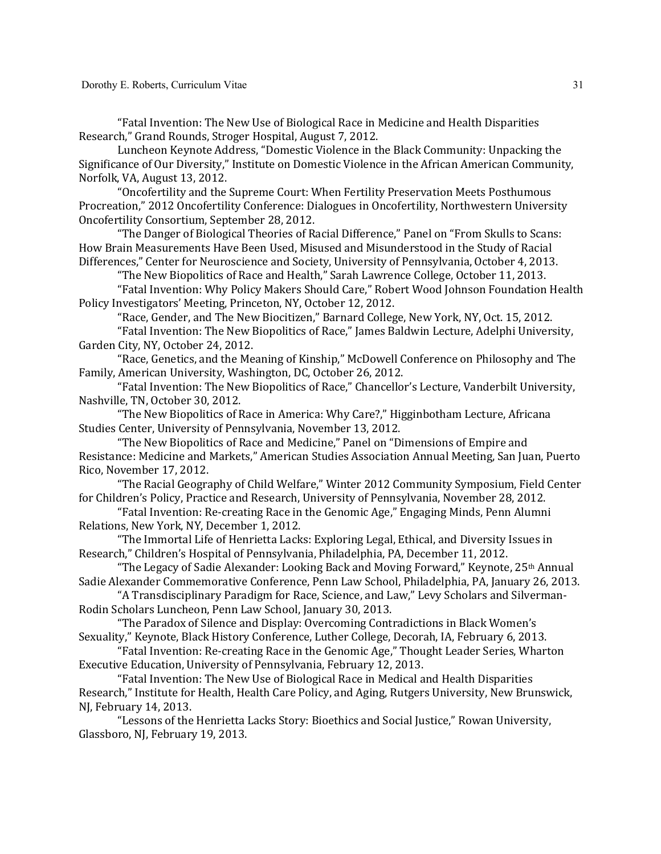"Fatal Invention: The New Use of Biological Race in Medicine and Health Disparities Research," Grand Rounds, Stroger Hospital, August 7, 2012.

Luncheon Keynote Address, "Domestic Violence in the Black Community: Unpacking the Significance of Our Diversity," Institute on Domestic Violence in the African American Community, Norfolk, VA, August 13, 2012.

"Oncofertility and the Supreme Court: When Fertility Preservation Meets Posthumous Procreation," 2012 Oncofertility Conference: Dialogues in Oncofertility, Northwestern University Oncofertility Consortium, September 28, 2012.

"The Danger of Biological Theories of Racial Difference," Panel on "From Skulls to Scans: How Brain Measurements Have Been Used, Misused and Misunderstood in the Study of Racial Differences," Center for Neuroscience and Society, University of Pennsylvania, October 4, 2013.

"The New Biopolitics of Race and Health," Sarah Lawrence College, October 11, 2013.

"Fatal Invention: Why Policy Makers Should Care," Robert Wood Johnson Foundation Health Policy Investigators' Meeting, Princeton, NY, October 12, 2012.

"Race, Gender, and The New Biocitizen," Barnard College, New York, NY, Oct. 15, 2012.

"Fatal Invention: The New Biopolitics of Race," James Baldwin Lecture, Adelphi University, Garden City, NY, October 24, 2012.

"Race, Genetics, and the Meaning of Kinship," McDowell Conference on Philosophy and The Family, American University, Washington, DC, October 26, 2012.

"Fatal Invention: The New Biopolitics of Race," Chancellor's Lecture, Vanderbilt University, Nashville, TN, October 30, 2012.

"The New Biopolitics of Race in America: Why Care?," Higginbotham Lecture, Africana Studies Center, University of Pennsylvania, November 13, 2012.

"The New Biopolitics of Race and Medicine," Panel on "Dimensions of Empire and Resistance: Medicine and Markets," American Studies Association Annual Meeting, San Juan, Puerto Rico, November 17, 2012.

"The Racial Geography of Child Welfare," Winter 2012 Community Symposium, Field Center for Children's Policy, Practice and Research, University of Pennsylvania, November 28, 2012.

"Fatal Invention: Re-creating Race in the Genomic Age," Engaging Minds, Penn Alumni Relations, New York, NY, December 1, 2012.

"The Immortal Life of Henrietta Lacks: Exploring Legal, Ethical, and Diversity Issues in Research," Children's Hospital of Pennsylvania, Philadelphia, PA, December 11, 2012.

"The Legacy of Sadie Alexander: Looking Back and Moving Forward," Keynote, 25<sup>th</sup> Annual Sadie Alexander Commemorative Conference, Penn Law School, Philadelphia, PA, January 26, 2013.

"A Transdisciplinary Paradigm for Race, Science, and Law," Levy Scholars and Silverman-Rodin Scholars Luncheon, Penn Law School, January 30, 2013.

"The Paradox of Silence and Display: Overcoming Contradictions in Black Women's Sexuality," Keynote, Black History Conference, Luther College, Decorah, IA, February 6, 2013.

"Fatal Invention: Re-creating Race in the Genomic Age," Thought Leader Series, Wharton Executive Education, University of Pennsylvania, February 12, 2013.

"Fatal Invention: The New Use of Biological Race in Medical and Health Disparities Research," Institute for Health, Health Care Policy, and Aging, Rutgers University, New Brunswick, NJ, February 14, 2013.

"Lessons of the Henrietta Lacks Story: Bioethics and Social Justice," Rowan University, Glassboro, NJ, February 19, 2013.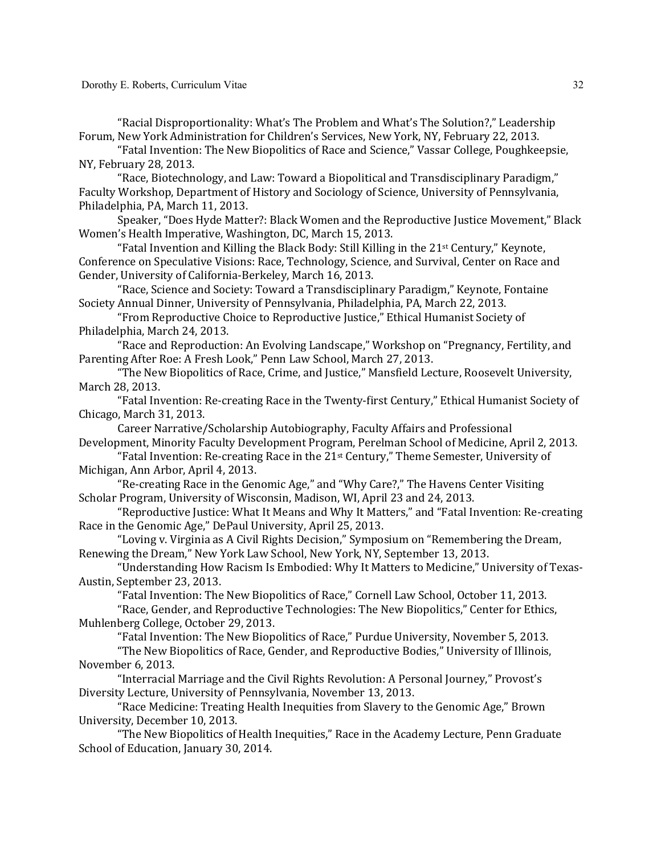"Racial Disproportionality: What's The Problem and What's The Solution?," Leadership Forum, New York Administration for Children's Services, New York, NY, February 22, 2013.

"Fatal Invention: The New Biopolitics of Race and Science," Vassar College, Poughkeepsie, NY, February 28, 2013.

"Race, Biotechnology, and Law: Toward a Biopolitical and Transdisciplinary Paradigm," Faculty Workshop, Department of History and Sociology of Science, University of Pennsylvania, Philadelphia, PA, March 11, 2013.

Speaker, "Does Hyde Matter?: Black Women and the Reproductive Justice Movement," Black Women's Health Imperative, Washington, DC, March 15, 2013.

"Fatal Invention and Killing the Black Body: Still Killing in the  $21<sup>st</sup>$  Century," Keynote, Conference on Speculative Visions: Race, Technology, Science, and Survival, Center on Race and Gender, University of California-Berkeley, March 16, 2013.

"Race, Science and Society: Toward a Transdisciplinary Paradigm," Keynote, Fontaine Society Annual Dinner, University of Pennsylvania, Philadelphia, PA, March 22, 2013.

"From Reproductive Choice to Reproductive Justice," Ethical Humanist Society of Philadelphia, March 24, 2013.

"Race and Reproduction: An Evolving Landscape," Workshop on "Pregnancy, Fertility, and Parenting After Roe: A Fresh Look," Penn Law School, March 27, 2013.

"The New Biopolitics of Race, Crime, and Justice," Mansfield Lecture, Roosevelt University, March 28, 2013.

"Fatal Invention: Re-creating Race in the Twenty-first Century," Ethical Humanist Society of Chicago, March 31, 2013.

Career Narrative/Scholarship Autobiography, Faculty Affairs and Professional Development, Minority Faculty Development Program, Perelman School of Medicine, April 2, 2013.

"Fatal Invention: Re-creating Race in the 21<sup>st</sup> Century," Theme Semester, University of Michigan, Ann Arbor, April 4, 2013.

"Re-creating Race in the Genomic Age," and "Why Care?," The Havens Center Visiting Scholar Program, University of Wisconsin, Madison, WI, April 23 and 24, 2013.

"Reproductive Justice: What It Means and Why It Matters," and "Fatal Invention: Re-creating Race in the Genomic Age," DePaul University, April 25, 2013.

"Loving v. Virginia as A Civil Rights Decision," Symposium on "Remembering the Dream, Renewing the Dream," New York Law School, New York, NY, September 13, 2013.

"Understanding How Racism Is Embodied: Why It Matters to Medicine," University of Texas-Austin, September 23, 2013.

"Fatal Invention: The New Biopolitics of Race," Cornell Law School, October 11, 2013.

"Race, Gender, and Reproductive Technologies: The New Biopolitics," Center for Ethics, Muhlenberg College, October 29, 2013.

"Fatal Invention: The New Biopolitics of Race," Purdue University, November 5, 2013.

"The New Biopolitics of Race, Gender, and Reproductive Bodies," University of Illinois, November 6, 2013.

"Interracial Marriage and the Civil Rights Revolution: A Personal Journey," Provost's Diversity Lecture, University of Pennsylvania, November 13, 2013.

"Race Medicine: Treating Health Inequities from Slavery to the Genomic Age," Brown University, December 10, 2013.

"The New Biopolitics of Health Inequities," Race in the Academy Lecture, Penn Graduate School of Education, January 30, 2014.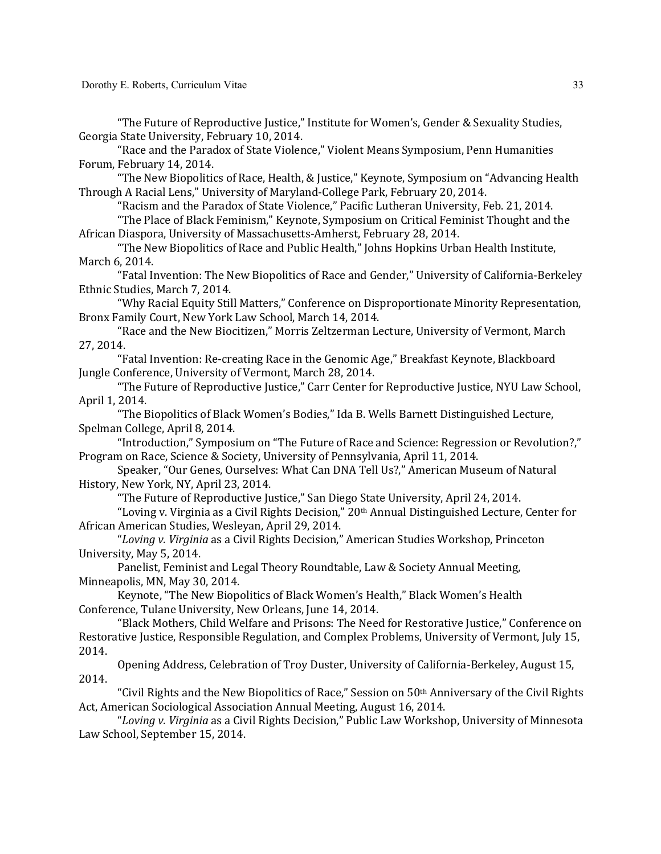"The Future of Reproductive Justice," Institute for Women's, Gender & Sexuality Studies, Georgia State University, February 10, 2014.

"Race and the Paradox of State Violence," Violent Means Symposium, Penn Humanities Forum, February 14, 2014.

"The New Biopolitics of Race, Health, & Justice," Keynote, Symposium on "Advancing Health Through A Racial Lens," University of Maryland-College Park, February 20, 2014.

"Racism and the Paradox of State Violence," Pacific Lutheran University, Feb. 21, 2014.

"The Place of Black Feminism," Keynote, Symposium on Critical Feminist Thought and the African Diaspora, University of Massachusetts-Amherst, February 28, 2014.

"The New Biopolitics of Race and Public Health," Johns Hopkins Urban Health Institute, March 6, 2014.

"Fatal Invention: The New Biopolitics of Race and Gender," University of California-Berkeley Ethnic Studies, March 7, 2014.

"Why Racial Equity Still Matters," Conference on Disproportionate Minority Representation, Bronx Family Court, New York Law School, March 14, 2014.

"Race and the New Biocitizen," Morris Zeltzerman Lecture, University of Vermont, March 27, 2014.

"Fatal Invention: Re-creating Race in the Genomic Age," Breakfast Keynote, Blackboard Jungle Conference, University of Vermont, March 28, 2014.

"The Future of Reproductive Justice," Carr Center for Reproductive Justice, NYU Law School, April 1, 2014.

"The Biopolitics of Black Women's Bodies," Ida B. Wells Barnett Distinguished Lecture, Spelman College, April 8, 2014.

"Introduction," Symposium on "The Future of Race and Science: Regression or Revolution?," Program on Race, Science & Society, University of Pennsylvania, April 11, 2014.

Speaker, "Our Genes, Ourselves: What Can DNA Tell Us?," American Museum of Natural History, New York, NY, April 23, 2014.

"The Future of Reproductive Justice," San Diego State University, April 24, 2014.

"Loving v. Virginia as a Civil Rights Decision," 20th Annual Distinguished Lecture, Center for African American Studies, Wesleyan, April 29, 2014.

"Loving v. Virginia as a Civil Rights Decision," American Studies Workshop, Princeton University, May 5, 2014.

Panelist, Feminist and Legal Theory Roundtable, Law & Society Annual Meeting, Minneapolis, MN, May 30, 2014.

Keynote, "The New Biopolitics of Black Women's Health," Black Women's Health Conference, Tulane University, New Orleans, June 14, 2014.

"Black Mothers, Child Welfare and Prisons: The Need for Restorative Justice," Conference on Restorative Justice, Responsible Regulation, and Complex Problems, University of Vermont, July 15, 2014.

Opening Address, Celebration of Troy Duster, University of California-Berkeley, August 15, 2014.

"Civil Rights and the New Biopolitics of Race," Session on  $50<sup>th</sup>$  Anniversary of the Civil Rights Act, American Sociological Association Annual Meeting, August 16, 2014.

"Loving v. Virginia as a Civil Rights Decision," Public Law Workshop, University of Minnesota Law School, September 15, 2014.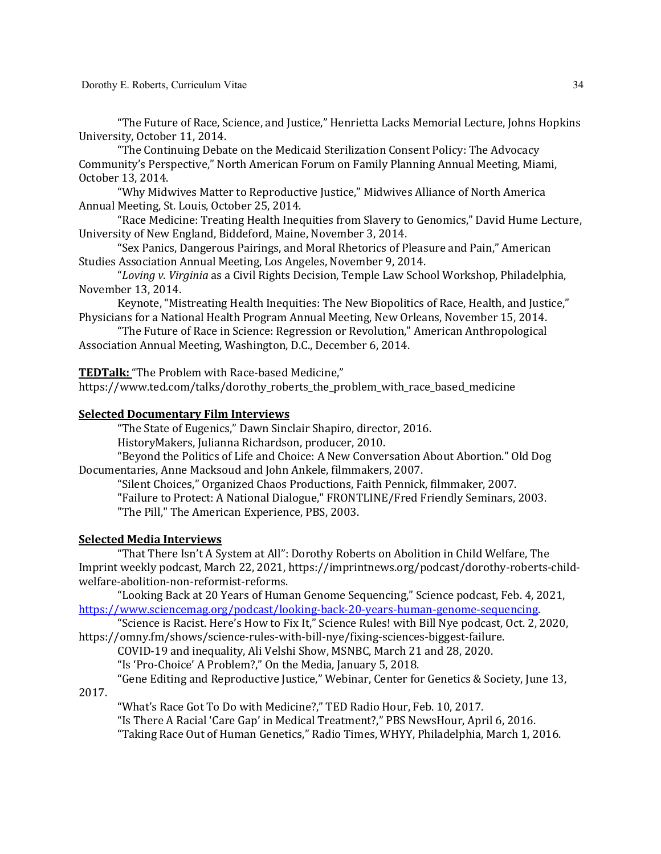"The Future of Race, Science, and Justice," Henrietta Lacks Memorial Lecture, Johns Hopkins University, October 11, 2014.

"The Continuing Debate on the Medicaid Sterilization Consent Policy: The Advocacy Community's Perspective," North American Forum on Family Planning Annual Meeting, Miami, October 13, 2014.

"Why Midwives Matter to Reproductive Justice," Midwives Alliance of North America Annual Meeting, St. Louis, October 25, 2014.

"Race Medicine: Treating Health Inequities from Slavery to Genomics," David Hume Lecture, University of New England, Biddeford, Maine, November 3, 2014.

"Sex Panics, Dangerous Pairings, and Moral Rhetorics of Pleasure and Pain," American Studies Association Annual Meeting, Los Angeles, November 9, 2014.

"Loving v. Virginia as a Civil Rights Decision, Temple Law School Workshop, Philadelphia, November 13, 2014.

Keynote, "Mistreating Health Inequities: The New Biopolitics of Race, Health, and Justice," Physicians for a National Health Program Annual Meeting, New Orleans, November 15, 2014.

"The Future of Race in Science: Regression or Revolution," American Anthropological Association Annual Meeting, Washington, D.C., December 6, 2014.

**TEDTalk:** "The Problem with Race-based Medicine,"

https://www.ted.com/talks/dorothy\_roberts\_the\_problem\_with\_race\_based\_medicine

## **Selected Documentary Film Interviews**

"The State of Eugenics," Dawn Sinclair Shapiro, director, 2016.

HistoryMakers, Julianna Richardson, producer, 2010.

"Beyond the Politics of Life and Choice: A New Conversation About Abortion." Old Dog Documentaries, Anne Macksoud and John Ankele, filmmakers, 2007.

"Silent Choices," Organized Chaos Productions, Faith Pennick, filmmaker, 2007.

"Failure to Protect: A National Dialogue," FRONTLINE/Fred Friendly Seminars, 2003. "The Pill," The American Experience, PBS, 2003.

### **Selected Media Interviews**

"That There Isn't A System at All": Dorothy Roberts on Abolition in Child Welfare, The Imprint weekly podcast, March 22, 2021, https://imprintnews.org/podcast/dorothy-roberts-childwelfare-abolition-non-reformist-reforms.

"Looking Back at 20 Years of Human Genome Sequencing," Science podcast, Feb. 4, 2021, https://www.sciencemag.org/podcast/looking-back-20-years-human-genome-sequencing.

"Science is Racist. Here's How to Fix It," Science Rules! with Bill Nye podcast, Oct. 2, 2020, https://omny.fm/shows/science-rules-with-bill-nye/fixing-sciences-biggest-failure.

COVID-19 and inequality, Ali Velshi Show, MSNBC, March 21 and 28, 2020.

"Is 'Pro-Choice' A Problem?," On the Media, January 5, 2018.

"Gene Editing and Reproductive Justice," Webinar, Center for Genetics & Society, June 13,

2017.

"What's Race Got To Do with Medicine?," TED Radio Hour, Feb. 10, 2017. "Is There A Racial 'Care Gap' in Medical Treatment?," PBS NewsHour, April 6, 2016. "Taking Race Out of Human Genetics," Radio Times, WHYY, Philadelphia, March 1, 2016.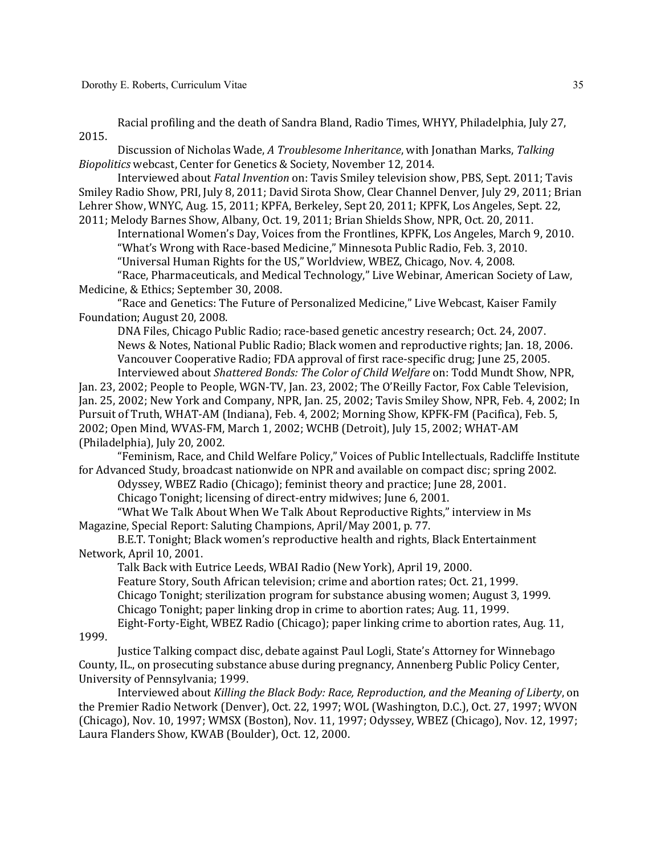Racial profiling and the death of Sandra Bland, Radio Times, WHYY, Philadelphia, July 27, 2015.

Discussion of Nicholas Wade, *A Troublesome Inheritance*, with Jonathan Marks, Talking *Biopolitics* webcast, Center for Genetics & Society, November 12, 2014.

Interviewed about *Fatal Invention* on: Tavis Smiley television show, PBS, Sept. 2011; Tavis Smiley Radio Show, PRI, July 8, 2011; David Sirota Show, Clear Channel Denver, July 29, 2011; Brian Lehrer Show, WNYC, Aug. 15, 2011; KPFA, Berkeley, Sept 20, 2011; KPFK, Los Angeles, Sept. 22, 2011; Melody Barnes Show, Albany, Oct. 19, 2011; Brian Shields Show, NPR, Oct. 20, 2011.

International Women's Day, Voices from the Frontlines, KPFK, Los Angeles, March 9, 2010. "What's Wrong with Race-based Medicine," Minnesota Public Radio, Feb. 3, 2010.

"Universal Human Rights for the US," Worldview, WBEZ, Chicago, Nov. 4, 2008.

"Race, Pharmaceuticals, and Medical Technology," Live Webinar, American Society of Law, Medicine, & Ethics; September 30, 2008.

"Race and Genetics: The Future of Personalized Medicine," Live Webcast, Kaiser Family Foundation; August 20, 2008.

DNA Files, Chicago Public Radio; race-based genetic ancestry research; Oct. 24, 2007. News & Notes, National Public Radio; Black women and reproductive rights; Jan. 18, 2006. Vancouver Cooperative Radio; FDA approval of first race-specific drug; June 25, 2005. Interviewed about *Shattered Bonds: The Color of Child Welfare* on: Todd Mundt Show, NPR, 

Jan. 23, 2002; People to People, WGN-TV, Jan. 23, 2002; The O'Reilly Factor, Fox Cable Television, Jan. 25, 2002; New York and Company, NPR, Jan. 25, 2002; Tavis Smiley Show, NPR, Feb. 4, 2002; In Pursuit of Truth, WHAT-AM (Indiana), Feb. 4, 2002; Morning Show, KPFK-FM (Pacifica), Feb. 5, 2002; Open Mind, WVAS-FM, March 1, 2002; WCHB (Detroit), July 15, 2002; WHAT-AM (Philadelphia), July 20, 2002.

"Feminism, Race, and Child Welfare Policy," Voices of Public Intellectuals, Radcliffe Institute for Advanced Study, broadcast nationwide on NPR and available on compact disc; spring 2002.

Odyssey, WBEZ Radio (Chicago); feminist theory and practice; June 28, 2001.

Chicago Tonight; licensing of direct-entry midwives; June 6, 2001.

"What We Talk About When We Talk About Reproductive Rights," interview in Ms Magazine, Special Report: Saluting Champions, April/May 2001, p. 77.

B.E.T. Tonight; Black women's reproductive health and rights, Black Entertainment Network, April 10, 2001.

Talk Back with Eutrice Leeds, WBAI Radio (New York), April 19, 2000. Feature Story, South African television; crime and abortion rates; Oct. 21, 1999. Chicago Tonight; sterilization program for substance abusing women; August 3, 1999. Chicago Tonight; paper linking drop in crime to abortion rates; Aug. 11, 1999. Eight-Forty-Eight, WBEZ Radio (Chicago); paper linking crime to abortion rates, Aug. 11,

1999.

Justice Talking compact disc, debate against Paul Logli, State's Attorney for Winnebago County, IL., on prosecuting substance abuse during pregnancy, Annenberg Public Policy Center, University of Pennsylvania; 1999.

Interviewed about *Killing the Black Body: Race, Reproduction, and the Meaning of Liberty*, on the Premier Radio Network (Denver), Oct. 22, 1997; WOL (Washington, D.C.), Oct. 27, 1997; WVON (Chicago), Nov. 10, 1997; WMSX (Boston), Nov. 11, 1997; Odyssey, WBEZ (Chicago), Nov. 12, 1997; Laura Flanders Show, KWAB (Boulder), Oct. 12, 2000.